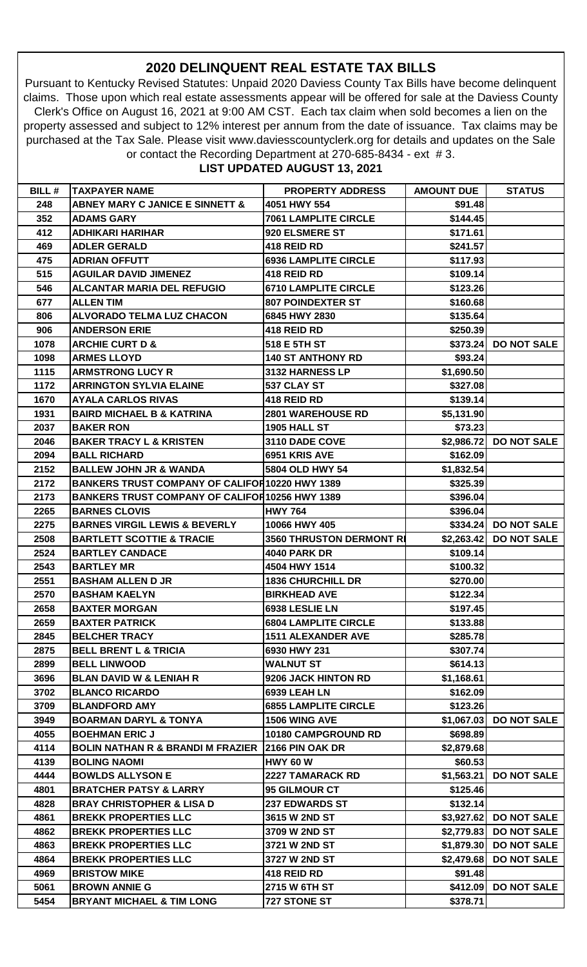## **2020 DELINQUENT REAL ESTATE TAX BILLS**

Pursuant to Kentucky Revised Statutes: Unpaid 2020 Daviess County Tax Bills have become delinquent claims. Those upon which real estate assessments appear will be offered for sale at the Daviess County Clerk's Office on August 16, 2021 at 9:00 AM CST. Each tax claim when sold becomes a lien on the property assessed and subject to 12% interest per annum from the date of issuance. Tax claims may be purchased at the Tax Sale. Please visit www.daviesscountyclerk.org for details and updates on the Sale or contact the Recording Department at 270-685-8434 - ext # 3.

## **LIST UPDATED AUGUST 13, 2021**

| <b>BILL#</b> | <b>TAXPAYER NAME</b>                                   | <b>PROPERTY ADDRESS</b>     | <b>AMOUNT DUE</b> | <b>STATUS</b>          |
|--------------|--------------------------------------------------------|-----------------------------|-------------------|------------------------|
| 248          | <b>ABNEY MARY C JANICE E SINNETT &amp;</b>             | 4051 HWY 554                | \$91.48           |                        |
| 352          | <b>ADAMS GARY</b>                                      | <b>7061 LAMPLITE CIRCLE</b> | \$144.45          |                        |
| 412          | <b>ADHIKARI HARIHAR</b>                                | 920 ELSMERE ST              | \$171.61          |                        |
| 469          | <b>ADLER GERALD</b>                                    | 418 REID RD                 | \$241.57          |                        |
| 475          | <b>ADRIAN OFFUTT</b>                                   | <b>6936 LAMPLITE CIRCLE</b> | \$117.93          |                        |
| 515          | <b>AGUILAR DAVID JIMENEZ</b>                           | 418 REID RD                 | \$109.14          |                        |
| 546          | <b>ALCANTAR MARIA DEL REFUGIO</b>                      | <b>6710 LAMPLITE CIRCLE</b> | \$123.26          |                        |
| 677          | <b>ALLEN TIM</b>                                       | <b>807 POINDEXTER ST</b>    | \$160.68          |                        |
| 806          | <b>ALVORADO TELMA LUZ CHACON</b>                       | 6845 HWY 2830               | \$135.64          |                        |
| 906          | <b>ANDERSON ERIE</b>                                   | 418 REID RD                 | \$250.39          |                        |
| 1078         | <b>ARCHIE CURT D &amp;</b>                             | 518 E 5TH ST                | \$373.24          | <b>DO NOT SALE</b>     |
| 1098         | <b>ARMES LLOYD</b>                                     | <b>140 ST ANTHONY RD</b>    | \$93.24           |                        |
| 1115         | <b>ARMSTRONG LUCY R</b>                                | 3132 HARNESS LP             | \$1,690.50        |                        |
| 1172         | <b>ARRINGTON SYLVIA ELAINE</b>                         | 537 CLAY ST                 | \$327.08          |                        |
| 1670         | <b>AYALA CARLOS RIVAS</b>                              | 418 REID RD                 | \$139.14          |                        |
| 1931         | <b>BAIRD MICHAEL B &amp; KATRINA</b>                   | 2801 WAREHOUSE RD           | \$5,131.90        |                        |
| 2037         | <b>BAKER RON</b>                                       | 1905 HALL ST                | \$73.23           |                        |
| 2046         | <b>BAKER TRACY L &amp; KRISTEN</b>                     | 3110 DADE COVE              |                   | \$2,986.72 DO NOT SALE |
| 2094         | <b>BALL RICHARD</b>                                    | 6951 KRIS AVE               | \$162.09          |                        |
| 2152         | <b>BALLEW JOHN JR &amp; WANDA</b>                      | 5804 OLD HWY 54             | \$1,832.54        |                        |
| 2172         | <b>BANKERS TRUST COMPANY OF CALIFOR 10220 HWY 1389</b> |                             | \$325.39          |                        |
| 2173         | <b>BANKERS TRUST COMPANY OF CALIFON 10256 HWY 1389</b> |                             | \$396.04          |                        |
| 2265         | <b>BARNES CLOVIS</b>                                   | <b>HWY 764</b>              | \$396.04          |                        |
| 2275         | <b>BARNES VIRGIL LEWIS &amp; BEVERLY</b>               | 10066 HWY 405               |                   | \$334.24 DO NOT SALE   |
| 2508         | <b>BARTLETT SCOTTIE &amp; TRACIE</b>                   | 3560 THRUSTON DERMONT RI    |                   | \$2,263.42 DO NOT SALE |
| 2524         | <b>BARTLEY CANDACE</b>                                 | <b>4040 PARK DR</b>         | \$109.14          |                        |
| 2543         | <b>BARTLEY MR</b>                                      | 4504 HWY 1514               | \$100.32          |                        |
| 2551         | <b>BASHAM ALLEN D JR</b>                               | <b>1836 CHURCHILL DR</b>    | \$270.00          |                        |
| 2570         | <b>BASHAM KAELYN</b>                                   | <b>BIRKHEAD AVE</b>         | \$122.34          |                        |
| 2658         | <b>BAXTER MORGAN</b>                                   | 6938 LESLIE LN              | \$197.45          |                        |
| 2659         | <b>BAXTER PATRICK</b>                                  | <b>6804 LAMPLITE CIRCLE</b> | \$133.88          |                        |
| 2845         | <b>BELCHER TRACY</b>                                   | <b>1511 ALEXANDER AVE</b>   | \$285.78          |                        |
| 2875         | <b>BELL BRENT L &amp; TRICIA</b>                       | 6930 HWY 231                | \$307.74          |                        |
| 2899         | <b>BELL LINWOOD</b>                                    | <b>WALNUT ST</b>            | \$614.13          |                        |
| 3696         | <b>BLAN DAVID W &amp; LENIAH R</b>                     | 9206 JACK HINTON RD         | \$1,168.61        |                        |
| 3702         | <b>BLANCO RICARDO</b>                                  | <b>6939 LEAH LN</b>         | \$162.09          |                        |
| 3709         | <b>BLANDFORD AMY</b>                                   | <b>6855 LAMPLITE CIRCLE</b> | \$123.26          |                        |
| 3949         | <b>BOARMAN DARYL &amp; TONYA</b>                       | 1506 WING AVE               | \$1,067.03        | <b>DO NOT SALE</b>     |
| 4055         | <b>BOEHMAN ERIC J</b>                                  | 10180 CAMPGROUND RD         | \$698.89          |                        |
| 4114         | <b>BOLIN NATHAN R &amp; BRANDI M FRAZIER</b>           | 2166 PIN OAK DR             | \$2,879.68        |                        |
| 4139         | <b>BOLING NAOMI</b>                                    | <b>HWY 60 W</b>             | \$60.53           |                        |
| 4444         | <b>BOWLDS ALLYSON E</b>                                | 2227 TAMARACK RD            | \$1,563.21        | <b>DO NOT SALE</b>     |
| 4801         | <b>BRATCHER PATSY &amp; LARRY</b>                      | 95 GILMOUR CT               | \$125.46          |                        |
| 4828         | <b>BRAY CHRISTOPHER &amp; LISA D</b>                   | <b>237 EDWARDS ST</b>       | \$132.14          |                        |
| 4861         | <b>BREKK PROPERTIES LLC</b>                            | 3615 W 2ND ST               |                   | \$3,927.62 DO NOT SALE |
| 4862         | <b>BREKK PROPERTIES LLC</b>                            | 3709 W 2ND ST               |                   | \$2,779.83 DO NOT SALE |
| 4863         | <b>BREKK PROPERTIES LLC</b>                            | 3721 W 2ND ST               |                   | \$1,879.30 DO NOT SALE |
| 4864         | <b>BREKK PROPERTIES LLC</b>                            | 3727 W 2ND ST               | \$2,479.68        | <b>DO NOT SALE</b>     |
| 4969         | <b>BRISTOW MIKE</b>                                    | 418 REID RD                 | \$91.48           |                        |
| 5061         | <b>BROWN ANNIE G</b>                                   | 2715 W 6TH ST               | \$412.09          | <b>DO NOT SALE</b>     |
| 5454         | <b>BRYANT MICHAEL &amp; TIM LONG</b>                   | 727 STONE ST                | \$378.71          |                        |
|              |                                                        |                             |                   |                        |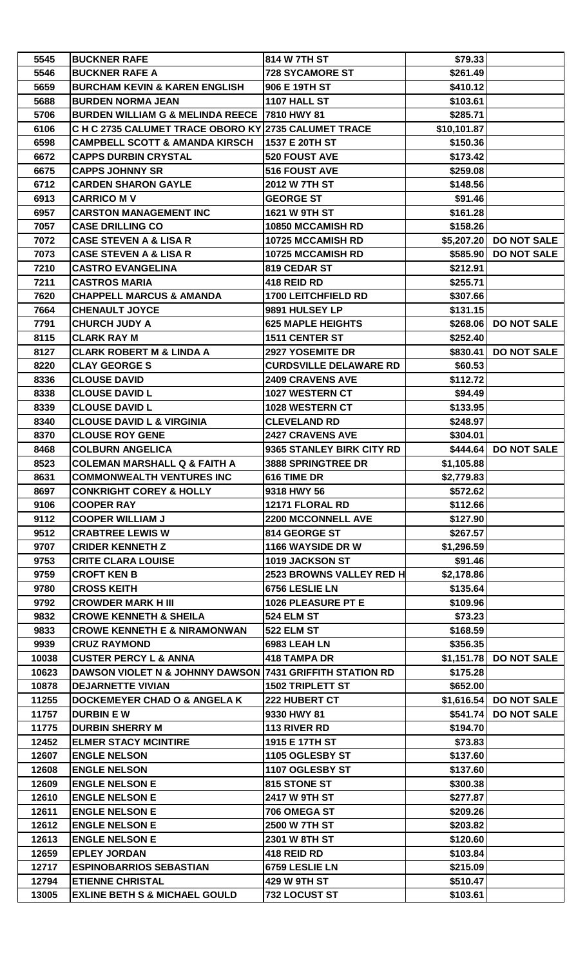| 5545         | <b>BUCKNER RAFE</b>                                                    | 814 W 7TH ST                                    | \$79.33                  |                        |
|--------------|------------------------------------------------------------------------|-------------------------------------------------|--------------------------|------------------------|
| 5546         | <b>BUCKNER RAFE A</b>                                                  | <b>728 SYCAMORE ST</b>                          | \$261.49                 |                        |
| 5659         | <b>BURCHAM KEVIN &amp; KAREN ENGLISH</b>                               | 906 E 19TH ST                                   | \$410.12                 |                        |
| 5688         | <b>BURDEN NORMA JEAN</b>                                               | 1107 HALL ST                                    | \$103.61                 |                        |
| 5706         | BURDEN WILLIAM G & MELINDA REECE   7810 HWY 81                         |                                                 | \$285.71                 |                        |
| 6106         | C H C 2735 CALUMET TRACE OBORO KY 2735 CALUMET TRACE                   |                                                 | \$10,101.87              |                        |
| 6598         | <b>CAMPBELL SCOTT &amp; AMANDA KIRSCH</b>                              | 1537 E 20TH ST                                  | \$150.36                 |                        |
| 6672         | <b>CAPPS DURBIN CRYSTAL</b>                                            | <b>520 FOUST AVE</b>                            | \$173.42                 |                        |
| 6675         | <b>CAPPS JOHNNY SR</b>                                                 | <b>516 FOUST AVE</b>                            | \$259.08                 |                        |
| 6712         | <b>CARDEN SHARON GAYLE</b>                                             | 2012 W 7TH ST                                   | \$148.56                 |                        |
| 6913         | <b>CARRICO MV</b>                                                      | <b>GEORGE ST</b>                                | \$91.46                  |                        |
| 6957         | <b>CARSTON MANAGEMENT INC</b>                                          | 1621 W 9TH ST                                   | \$161.28                 |                        |
| 7057         | <b>CASE DRILLING CO</b>                                                | 10850 MCCAMISH RD                               | \$158.26                 |                        |
| 7072         | <b>CASE STEVEN A &amp; LISA R</b>                                      | 10725 MCCAMISH RD                               |                          | \$5,207.20 DO NOT SALE |
| 7073         | <b>CASE STEVEN A &amp; LISA R</b>                                      | 10725 MCCAMISH RD                               |                          | \$585.90 DO NOT SALE   |
| 7210         | <b>CASTRO EVANGELINA</b>                                               | 819 CEDAR ST                                    | \$212.91                 |                        |
| 7211         | <b>CASTROS MARIA</b>                                                   | 418 REID RD                                     | \$255.71                 |                        |
| 7620         | <b>CHAPPELL MARCUS &amp; AMANDA</b>                                    | <b>1700 LEITCHFIELD RD</b>                      | \$307.66                 |                        |
| 7664         | <b>CHENAULT JOYCE</b>                                                  | 9891 HULSEY LP                                  | \$131.15                 |                        |
| 7791         | <b>CHURCH JUDY A</b>                                                   | <b>625 MAPLE HEIGHTS</b>                        |                          | \$268.06 DO NOT SALE   |
| 8115         | <b>CLARK RAY M</b>                                                     | <b>1511 CENTER ST</b>                           | \$252.40                 |                        |
| 8127         | <b>CLARK ROBERT M &amp; LINDA A</b>                                    | 2927 YOSEMITE DR                                | \$830.41                 | <b>DO NOT SALE</b>     |
| 8220         | <b>CLAY GEORGE S</b>                                                   | <b>CURDSVILLE DELAWARE RD</b>                   | \$60.53                  |                        |
| 8336         | <b>CLOUSE DAVID</b>                                                    | <b>2409 CRAVENS AVE</b>                         | \$112.72                 |                        |
| 8338         | <b>CLOUSE DAVID L</b>                                                  | 1027 WESTERN CT                                 | \$94.49                  |                        |
| 8339         | <b>CLOUSE DAVID L</b>                                                  | 1028 WESTERN CT                                 | \$133.95                 |                        |
| 8340         | <b>CLOUSE DAVID L &amp; VIRGINIA</b>                                   | <b>CLEVELAND RD</b>                             | \$248.97                 |                        |
| 8370         | <b>CLOUSE ROY GENE</b>                                                 | <b>2427 CRAVENS AVE</b>                         | \$304.01                 |                        |
|              |                                                                        |                                                 |                          |                        |
| 8468<br>8523 | <b>COLBURN ANGELICA</b><br><b>COLEMAN MARSHALL Q &amp; FAITH A</b>     | 9365 STANLEY BIRK CITY RD<br>3888 SPRINGTREE DR |                          | \$444.64 DO NOT SALE   |
|              |                                                                        |                                                 | \$1,105.88<br>\$2,779.83 |                        |
| 8631         | <b>COMMONWEALTH VENTURES INC</b><br><b>CONKRIGHT COREY &amp; HOLLY</b> | 616 TIME DR                                     |                          |                        |
| 8697         |                                                                        | 9318 HWY 56                                     | \$572.62                 |                        |
| 9106         | <b>COOPER RAY</b>                                                      | 12171 FLORAL RD                                 | \$112.66                 |                        |
| 9112         | <b>COOPER WILLIAM J</b>                                                | <b>2200 MCCONNELL AVE</b>                       | \$127.90                 |                        |
| 9512         | <b>CRABTREE LEWIS W</b>                                                | 814 GEORGE ST                                   | \$267.57                 |                        |
| 9707         | <b>CRIDER KENNETH Z</b>                                                | 1166 WAYSIDE DR W                               | \$1,296.59               |                        |
| 9753         | <b>CRITE CLARA LOUISE</b>                                              | 1019 JACKSON ST                                 | \$91.46                  |                        |
| 9759         | <b>CROFT KEN B</b>                                                     | 2523 BROWNS VALLEY RED H                        | \$2,178.86               |                        |
| 9780         | <b>CROSS KEITH</b>                                                     | 6756 LESLIE LN                                  | \$135.64                 |                        |
| 9792         | <b>CROWDER MARK H III</b>                                              | 1026 PLEASURE PT E                              | \$109.96                 |                        |
| 9832         | <b>CROWE KENNETH &amp; SHEILA</b>                                      | 524 ELM ST                                      | \$73.23                  |                        |
| 9833         | <b>CROWE KENNETH E &amp; NIRAMONWAN</b>                                | 522 ELM ST                                      | \$168.59                 |                        |
| 9939         | <b>CRUZ RAYMOND</b>                                                    | 6983 LEAH LN                                    | \$356.35                 |                        |
| 10038        | <b>CUSTER PERCY L &amp; ANNA</b>                                       | <b>418 TAMPA DR</b>                             | \$1,151.78               | <b>DO NOT SALE</b>     |
| 10623        | DAWSON VIOLET N & JOHNNY DAWSON 7431 GRIFFITH STATION RD               |                                                 | \$175.28                 |                        |
| 10878        | <b>DEJARNETTE VIVIAN</b>                                               | <b>1502 TRIPLETT ST</b>                         | \$652.00                 |                        |
| 11255        | <b>DOCKEMEYER CHAD O &amp; ANGELA K</b>                                | 222 HUBERT CT                                   |                          | \$1,616.54 DO NOT SALE |
| 11757        | <b>DURBIN EW</b>                                                       | 9330 HWY 81                                     | \$541.74]                | <b>DO NOT SALE</b>     |
| 11775        | <b>DURBIN SHERRY M</b>                                                 | 113 RIVER RD                                    | \$194.70                 |                        |
| 12452        | <b>ELMER STACY MCINTIRE</b>                                            | 1915 E 17TH ST                                  | \$73.83                  |                        |
| 12607        | <b>ENGLE NELSON</b>                                                    | 1105 OGLESBY ST                                 | \$137.60                 |                        |
| 12608        | <b>ENGLE NELSON</b>                                                    | 1107 OGLESBY ST                                 | \$137.60                 |                        |
| 12609        | <b>ENGLE NELSON E</b>                                                  | 815 STONE ST                                    | \$300.38                 |                        |
| 12610        | <b>ENGLE NELSON E</b>                                                  | 2417 W 9TH ST                                   | \$277.87                 |                        |
| 12611        | <b>ENGLE NELSON E</b>                                                  | 706 OMEGA ST                                    | \$209.26                 |                        |
| 12612        | <b>ENGLE NELSON E</b>                                                  | <b>2500 W 7TH ST</b>                            | \$203.82                 |                        |
| 12613        | <b>ENGLE NELSON E</b>                                                  | 2301 W 8TH ST                                   | \$120.60                 |                        |
| 12659        | <b>EPLEY JORDAN</b>                                                    | 418 REID RD                                     | \$103.84                 |                        |
| 12717        | <b>ESPINOBARRIOS SEBASTIAN</b>                                         | 6759 LESLIE LN                                  | \$215.09                 |                        |
| 12794        | <b>ETIENNE CHRISTAL</b>                                                | <b>429 W 9TH ST</b>                             | \$510.47                 |                        |
| 13005        | <b>EXLINE BETH S &amp; MICHAEL GOULD</b>                               | 732 LOCUST ST                                   | \$103.61                 |                        |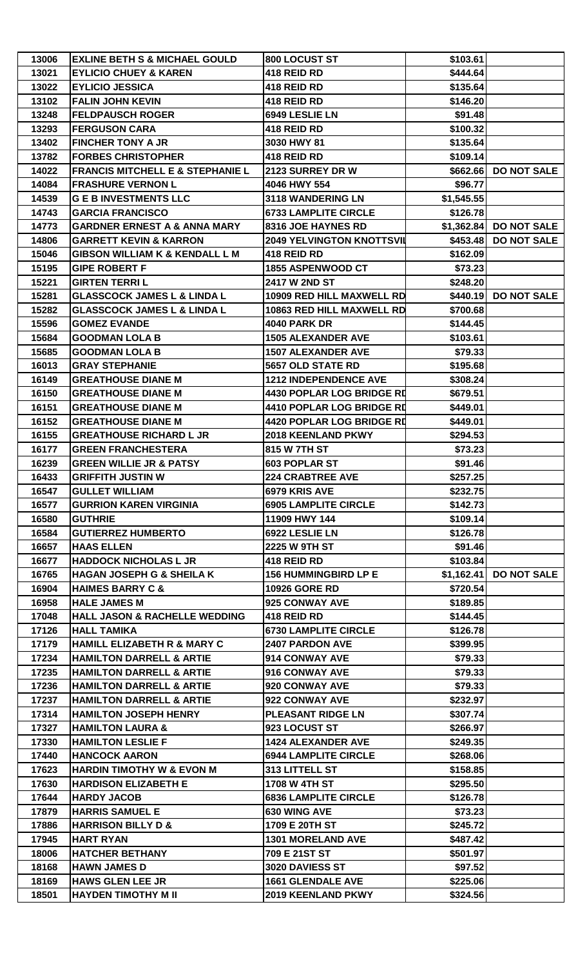| 13021<br><b>EYLICIO CHUEY &amp; KAREN</b><br>418 REID RD<br>\$444.64<br><b>EYLICIO JESSICA</b><br>418 REID RD<br>13022<br>\$135.64<br><b>FALIN JOHN KEVIN</b><br>418 REID RD<br>13102<br>\$146.20<br><b>FELDPAUSCH ROGER</b><br>6949 LESLIE LN<br>\$91.48<br>13248<br>418 REID RD<br>13293<br><b>FERGUSON CARA</b><br>\$100.32<br><b>FINCHER TONY A JR</b><br>3030 HWY 81<br>13402<br>\$135.64<br>13782<br><b>FORBES CHRISTOPHER</b><br>418 REID RD<br>\$109.14<br><b>FRANCIS MITCHELL E &amp; STEPHANIE L</b><br>2123 SURREY DR W<br><b>DO NOT SALE</b><br>14022<br>\$662.66<br>14084<br><b>FRASHURE VERNON L</b><br>4046 HWY 554<br>\$96.77<br>14539<br><b>G E B INVESTMENTS LLC</b><br>3118 WANDERING LN<br>\$1,545.55<br>14743<br><b>GARCIA FRANCISCO</b><br><b>6733 LAMPLITE CIRCLE</b><br>\$126.78<br><b>GARDNER ERNEST A &amp; ANNA MARY</b><br><b>8316 JOE HAYNES RD</b><br>\$1,362.84 DO NOT SALE<br>14773<br><b>GARRETT KEVIN &amp; KARRON</b><br><b>2049 YELVINGTON KNOTTSVIL</b><br>\$453.48<br><b>DO NOT SALE</b><br>14806<br>15046<br><b>GIBSON WILLIAM K &amp; KENDALL L M</b><br><b>418 REID RD</b><br>\$162.09<br>15195<br><b>GIPE ROBERT F</b><br>1855 ASPENWOOD CT<br>\$73.23<br>15221<br><b>GIRTEN TERRIL</b><br>2417 W 2ND ST<br>\$248.20<br><b>GLASSCOCK JAMES L &amp; LINDA L</b><br>10909 RED HILL MAXWELL RD<br>\$440.19<br><b>DO NOT SALE</b><br>15281<br>10863 RED HILL MAXWELL RD<br>15282<br><b>GLASSCOCK JAMES L &amp; LINDA L</b><br>\$700.68<br>\$144.45<br>15596<br><b>GOMEZ EVANDE</b><br><b>4040 PARK DR</b><br>15684<br><b>GOODMAN LOLA B</b><br><b>1505 ALEXANDER AVE</b><br>\$103.61<br>15685<br><b>GOODMAN LOLA B</b><br><b>1507 ALEXANDER AVE</b><br>\$79.33<br>16013<br><b>GRAY STEPHANIE</b><br>5657 OLD STATE RD<br>\$195.68<br><b>GREATHOUSE DIANE M</b><br><b>1212 INDEPENDENCE AVE</b><br>\$308.24<br>16149<br>16150<br><b>4430 POPLAR LOG BRIDGE RD</b><br><b>GREATHOUSE DIANE M</b><br>\$679.51<br><b>GREATHOUSE DIANE M</b><br>4410 POPLAR LOG BRIDGE RD<br>16151<br>\$449.01<br>16152<br><b>GREATHOUSE DIANE M</b><br><b>4420 POPLAR LOG BRIDGE RD</b><br>\$449.01<br><b>GREATHOUSE RICHARD L JR</b><br>16155<br>2018 KEENLAND PKWY<br>\$294.53<br><b>GREEN FRANCHESTERA</b><br>815 W 7TH ST<br>\$73.23<br>16177<br>603 POPLAR ST<br>\$91.46<br>16239<br><b>GREEN WILLIE JR &amp; PATSY</b><br>\$257.25<br>16433<br><b>GRIFFITH JUSTIN W</b><br><b>224 CRABTREE AVE</b><br>16547<br><b>GULLET WILLIAM</b><br>6979 KRIS AVE<br>\$232.75<br>16577<br><b>GURRION KAREN VIRGINIA</b><br><b>6905 LAMPLITE CIRCLE</b><br>\$142.73<br>11909 HWY 144<br><b>GUTHRIE</b><br>\$109.14<br>16580<br>16584<br><b>GUTIERREZ HUMBERTO</b><br>6922 LESLIE LN<br>\$126.78<br><b>HAAS ELLEN</b><br><b>2225 W 9TH ST</b><br>\$91.46<br>16657<br>16677<br><b>HADDOCK NICHOLAS L JR</b><br>418 REID RD<br>\$103.84<br><b>HAGAN JOSEPH G &amp; SHEILA K</b><br><b>156 HUMMINGBIRD LP E</b><br><b>DO NOT SALE</b><br>16765<br>\$1,162.41<br><b>HAIMES BARRY C &amp;</b><br><b>10926 GORE RD</b><br>\$720.54<br>16904<br>16958<br><b>HALE JAMES M</b><br>925 CONWAY AVE<br>\$189.85<br><b>HALL JASON &amp; RACHELLE WEDDING</b><br>418 REID RD<br>\$144.45<br>17048<br>17126<br><b>HALL TAMIKA</b><br><b>6730 LAMPLITE CIRCLE</b><br>\$126.78<br><b>HAMILL ELIZABETH R &amp; MARY C</b><br><b>2407 PARDON AVE</b><br>\$399.95<br>17179<br>17234<br><b>HAMILTON DARRELL &amp; ARTIE</b><br>914 CONWAY AVE<br>\$79.33<br><b>HAMILTON DARRELL &amp; ARTIE</b><br>\$79.33<br>17235<br>916 CONWAY AVE<br>17236<br><b>HAMILTON DARRELL &amp; ARTIE</b><br>920 CONWAY AVE<br>\$79.33<br>17237<br><b>HAMILTON DARRELL &amp; ARTIE</b><br>922 CONWAY AVE<br>\$232.97<br><b>HAMILTON JOSEPH HENRY</b><br><b>PLEASANT RIDGE LN</b><br>17314<br>\$307.74<br>17327<br><b>HAMILTON LAURA &amp;</b><br>923 LOCUST ST<br>\$266.97<br><b>1424 ALEXANDER AVE</b><br>17330<br><b>HAMILTON LESLIE F</b><br>\$249.35<br>17440<br><b>HANCOCK AARON</b><br><b>6944 LAMPLITE CIRCLE</b><br>\$268.06<br><b>HARDIN TIMOTHY W &amp; EVON M</b><br>313 LITTELL ST<br>\$158.85<br>17623<br><b>HARDISON ELIZABETH E</b><br>1708 W 4TH ST<br>\$295.50<br>17630<br><b>6836 LAMPLITE CIRCLE</b><br>17644<br><b>HARDY JACOB</b><br>\$126.78<br><b>HARRIS SAMUEL E</b><br>630 WING AVE<br>\$73.23<br>17879<br>17886<br><b>HARRISON BILLY D &amp;</b><br>1709 E 20TH ST<br>\$245.72<br><b>HART RYAN</b><br><b>1301 MORELAND AVE</b><br>17945<br>\$487.42<br>18006<br><b>HATCHER BETHANY</b><br>709 E 21ST ST<br>\$501.97<br>18168<br><b>HAWN JAMES D</b><br>3020 DAVIESS ST<br>\$97.52<br>18169<br><b>HAWS GLEN LEE JR</b><br><b>1661 GLENDALE AVE</b><br>\$225.06<br>18501<br><b>HAYDEN TIMOTHY M II</b><br>2019 KEENLAND PKWY<br>\$324.56 | 13006 | <b>EXLINE BETH S &amp; MICHAEL GOULD</b> | 800 LOCUST ST | \$103.61 |  |
|----------------------------------------------------------------------------------------------------------------------------------------------------------------------------------------------------------------------------------------------------------------------------------------------------------------------------------------------------------------------------------------------------------------------------------------------------------------------------------------------------------------------------------------------------------------------------------------------------------------------------------------------------------------------------------------------------------------------------------------------------------------------------------------------------------------------------------------------------------------------------------------------------------------------------------------------------------------------------------------------------------------------------------------------------------------------------------------------------------------------------------------------------------------------------------------------------------------------------------------------------------------------------------------------------------------------------------------------------------------------------------------------------------------------------------------------------------------------------------------------------------------------------------------------------------------------------------------------------------------------------------------------------------------------------------------------------------------------------------------------------------------------------------------------------------------------------------------------------------------------------------------------------------------------------------------------------------------------------------------------------------------------------------------------------------------------------------------------------------------------------------------------------------------------------------------------------------------------------------------------------------------------------------------------------------------------------------------------------------------------------------------------------------------------------------------------------------------------------------------------------------------------------------------------------------------------------------------------------------------------------------------------------------------------------------------------------------------------------------------------------------------------------------------------------------------------------------------------------------------------------------------------------------------------------------------------------------------------------------------------------------------------------------------------------------------------------------------------------------------------------------------------------------------------------------------------------------------------------------------------------------------------------------------------------------------------------------------------------------------------------------------------------------------------------------------------------------------------------------------------------------------------------------------------------------------------------------------------------------------------------------------------------------------------------------------------------------------------------------------------------------------------------------------------------------------------------------------------------------------------------------------------------------------------------------------------------------------------------------------------------------------------------------------------------------------------------------------------------------------------------------------------------------------------------------------------------------------------------------------------------------------------------------------------------------------------------------------------------------------------------------------------------------------------------------------------------------------------------------------------------------------------------------------------------------------------------------------------------------------------------------------------------------------------------------------------------------------------------------|-------|------------------------------------------|---------------|----------|--|
|                                                                                                                                                                                                                                                                                                                                                                                                                                                                                                                                                                                                                                                                                                                                                                                                                                                                                                                                                                                                                                                                                                                                                                                                                                                                                                                                                                                                                                                                                                                                                                                                                                                                                                                                                                                                                                                                                                                                                                                                                                                                                                                                                                                                                                                                                                                                                                                                                                                                                                                                                                                                                                                                                                                                                                                                                                                                                                                                                                                                                                                                                                                                                                                                                                                                                                                                                                                                                                                                                                                                                                                                                                                                                                                                                                                                                                                                                                                                                                                                                                                                                                                                                                                                                                                                                                                                                                                                                                                                                                                                                                                                                                                                                                                                  |       |                                          |               |          |  |
|                                                                                                                                                                                                                                                                                                                                                                                                                                                                                                                                                                                                                                                                                                                                                                                                                                                                                                                                                                                                                                                                                                                                                                                                                                                                                                                                                                                                                                                                                                                                                                                                                                                                                                                                                                                                                                                                                                                                                                                                                                                                                                                                                                                                                                                                                                                                                                                                                                                                                                                                                                                                                                                                                                                                                                                                                                                                                                                                                                                                                                                                                                                                                                                                                                                                                                                                                                                                                                                                                                                                                                                                                                                                                                                                                                                                                                                                                                                                                                                                                                                                                                                                                                                                                                                                                                                                                                                                                                                                                                                                                                                                                                                                                                                                  |       |                                          |               |          |  |
|                                                                                                                                                                                                                                                                                                                                                                                                                                                                                                                                                                                                                                                                                                                                                                                                                                                                                                                                                                                                                                                                                                                                                                                                                                                                                                                                                                                                                                                                                                                                                                                                                                                                                                                                                                                                                                                                                                                                                                                                                                                                                                                                                                                                                                                                                                                                                                                                                                                                                                                                                                                                                                                                                                                                                                                                                                                                                                                                                                                                                                                                                                                                                                                                                                                                                                                                                                                                                                                                                                                                                                                                                                                                                                                                                                                                                                                                                                                                                                                                                                                                                                                                                                                                                                                                                                                                                                                                                                                                                                                                                                                                                                                                                                                                  |       |                                          |               |          |  |
|                                                                                                                                                                                                                                                                                                                                                                                                                                                                                                                                                                                                                                                                                                                                                                                                                                                                                                                                                                                                                                                                                                                                                                                                                                                                                                                                                                                                                                                                                                                                                                                                                                                                                                                                                                                                                                                                                                                                                                                                                                                                                                                                                                                                                                                                                                                                                                                                                                                                                                                                                                                                                                                                                                                                                                                                                                                                                                                                                                                                                                                                                                                                                                                                                                                                                                                                                                                                                                                                                                                                                                                                                                                                                                                                                                                                                                                                                                                                                                                                                                                                                                                                                                                                                                                                                                                                                                                                                                                                                                                                                                                                                                                                                                                                  |       |                                          |               |          |  |
|                                                                                                                                                                                                                                                                                                                                                                                                                                                                                                                                                                                                                                                                                                                                                                                                                                                                                                                                                                                                                                                                                                                                                                                                                                                                                                                                                                                                                                                                                                                                                                                                                                                                                                                                                                                                                                                                                                                                                                                                                                                                                                                                                                                                                                                                                                                                                                                                                                                                                                                                                                                                                                                                                                                                                                                                                                                                                                                                                                                                                                                                                                                                                                                                                                                                                                                                                                                                                                                                                                                                                                                                                                                                                                                                                                                                                                                                                                                                                                                                                                                                                                                                                                                                                                                                                                                                                                                                                                                                                                                                                                                                                                                                                                                                  |       |                                          |               |          |  |
|                                                                                                                                                                                                                                                                                                                                                                                                                                                                                                                                                                                                                                                                                                                                                                                                                                                                                                                                                                                                                                                                                                                                                                                                                                                                                                                                                                                                                                                                                                                                                                                                                                                                                                                                                                                                                                                                                                                                                                                                                                                                                                                                                                                                                                                                                                                                                                                                                                                                                                                                                                                                                                                                                                                                                                                                                                                                                                                                                                                                                                                                                                                                                                                                                                                                                                                                                                                                                                                                                                                                                                                                                                                                                                                                                                                                                                                                                                                                                                                                                                                                                                                                                                                                                                                                                                                                                                                                                                                                                                                                                                                                                                                                                                                                  |       |                                          |               |          |  |
|                                                                                                                                                                                                                                                                                                                                                                                                                                                                                                                                                                                                                                                                                                                                                                                                                                                                                                                                                                                                                                                                                                                                                                                                                                                                                                                                                                                                                                                                                                                                                                                                                                                                                                                                                                                                                                                                                                                                                                                                                                                                                                                                                                                                                                                                                                                                                                                                                                                                                                                                                                                                                                                                                                                                                                                                                                                                                                                                                                                                                                                                                                                                                                                                                                                                                                                                                                                                                                                                                                                                                                                                                                                                                                                                                                                                                                                                                                                                                                                                                                                                                                                                                                                                                                                                                                                                                                                                                                                                                                                                                                                                                                                                                                                                  |       |                                          |               |          |  |
|                                                                                                                                                                                                                                                                                                                                                                                                                                                                                                                                                                                                                                                                                                                                                                                                                                                                                                                                                                                                                                                                                                                                                                                                                                                                                                                                                                                                                                                                                                                                                                                                                                                                                                                                                                                                                                                                                                                                                                                                                                                                                                                                                                                                                                                                                                                                                                                                                                                                                                                                                                                                                                                                                                                                                                                                                                                                                                                                                                                                                                                                                                                                                                                                                                                                                                                                                                                                                                                                                                                                                                                                                                                                                                                                                                                                                                                                                                                                                                                                                                                                                                                                                                                                                                                                                                                                                                                                                                                                                                                                                                                                                                                                                                                                  |       |                                          |               |          |  |
|                                                                                                                                                                                                                                                                                                                                                                                                                                                                                                                                                                                                                                                                                                                                                                                                                                                                                                                                                                                                                                                                                                                                                                                                                                                                                                                                                                                                                                                                                                                                                                                                                                                                                                                                                                                                                                                                                                                                                                                                                                                                                                                                                                                                                                                                                                                                                                                                                                                                                                                                                                                                                                                                                                                                                                                                                                                                                                                                                                                                                                                                                                                                                                                                                                                                                                                                                                                                                                                                                                                                                                                                                                                                                                                                                                                                                                                                                                                                                                                                                                                                                                                                                                                                                                                                                                                                                                                                                                                                                                                                                                                                                                                                                                                                  |       |                                          |               |          |  |
|                                                                                                                                                                                                                                                                                                                                                                                                                                                                                                                                                                                                                                                                                                                                                                                                                                                                                                                                                                                                                                                                                                                                                                                                                                                                                                                                                                                                                                                                                                                                                                                                                                                                                                                                                                                                                                                                                                                                                                                                                                                                                                                                                                                                                                                                                                                                                                                                                                                                                                                                                                                                                                                                                                                                                                                                                                                                                                                                                                                                                                                                                                                                                                                                                                                                                                                                                                                                                                                                                                                                                                                                                                                                                                                                                                                                                                                                                                                                                                                                                                                                                                                                                                                                                                                                                                                                                                                                                                                                                                                                                                                                                                                                                                                                  |       |                                          |               |          |  |
|                                                                                                                                                                                                                                                                                                                                                                                                                                                                                                                                                                                                                                                                                                                                                                                                                                                                                                                                                                                                                                                                                                                                                                                                                                                                                                                                                                                                                                                                                                                                                                                                                                                                                                                                                                                                                                                                                                                                                                                                                                                                                                                                                                                                                                                                                                                                                                                                                                                                                                                                                                                                                                                                                                                                                                                                                                                                                                                                                                                                                                                                                                                                                                                                                                                                                                                                                                                                                                                                                                                                                                                                                                                                                                                                                                                                                                                                                                                                                                                                                                                                                                                                                                                                                                                                                                                                                                                                                                                                                                                                                                                                                                                                                                                                  |       |                                          |               |          |  |
|                                                                                                                                                                                                                                                                                                                                                                                                                                                                                                                                                                                                                                                                                                                                                                                                                                                                                                                                                                                                                                                                                                                                                                                                                                                                                                                                                                                                                                                                                                                                                                                                                                                                                                                                                                                                                                                                                                                                                                                                                                                                                                                                                                                                                                                                                                                                                                                                                                                                                                                                                                                                                                                                                                                                                                                                                                                                                                                                                                                                                                                                                                                                                                                                                                                                                                                                                                                                                                                                                                                                                                                                                                                                                                                                                                                                                                                                                                                                                                                                                                                                                                                                                                                                                                                                                                                                                                                                                                                                                                                                                                                                                                                                                                                                  |       |                                          |               |          |  |
|                                                                                                                                                                                                                                                                                                                                                                                                                                                                                                                                                                                                                                                                                                                                                                                                                                                                                                                                                                                                                                                                                                                                                                                                                                                                                                                                                                                                                                                                                                                                                                                                                                                                                                                                                                                                                                                                                                                                                                                                                                                                                                                                                                                                                                                                                                                                                                                                                                                                                                                                                                                                                                                                                                                                                                                                                                                                                                                                                                                                                                                                                                                                                                                                                                                                                                                                                                                                                                                                                                                                                                                                                                                                                                                                                                                                                                                                                                                                                                                                                                                                                                                                                                                                                                                                                                                                                                                                                                                                                                                                                                                                                                                                                                                                  |       |                                          |               |          |  |
|                                                                                                                                                                                                                                                                                                                                                                                                                                                                                                                                                                                                                                                                                                                                                                                                                                                                                                                                                                                                                                                                                                                                                                                                                                                                                                                                                                                                                                                                                                                                                                                                                                                                                                                                                                                                                                                                                                                                                                                                                                                                                                                                                                                                                                                                                                                                                                                                                                                                                                                                                                                                                                                                                                                                                                                                                                                                                                                                                                                                                                                                                                                                                                                                                                                                                                                                                                                                                                                                                                                                                                                                                                                                                                                                                                                                                                                                                                                                                                                                                                                                                                                                                                                                                                                                                                                                                                                                                                                                                                                                                                                                                                                                                                                                  |       |                                          |               |          |  |
|                                                                                                                                                                                                                                                                                                                                                                                                                                                                                                                                                                                                                                                                                                                                                                                                                                                                                                                                                                                                                                                                                                                                                                                                                                                                                                                                                                                                                                                                                                                                                                                                                                                                                                                                                                                                                                                                                                                                                                                                                                                                                                                                                                                                                                                                                                                                                                                                                                                                                                                                                                                                                                                                                                                                                                                                                                                                                                                                                                                                                                                                                                                                                                                                                                                                                                                                                                                                                                                                                                                                                                                                                                                                                                                                                                                                                                                                                                                                                                                                                                                                                                                                                                                                                                                                                                                                                                                                                                                                                                                                                                                                                                                                                                                                  |       |                                          |               |          |  |
|                                                                                                                                                                                                                                                                                                                                                                                                                                                                                                                                                                                                                                                                                                                                                                                                                                                                                                                                                                                                                                                                                                                                                                                                                                                                                                                                                                                                                                                                                                                                                                                                                                                                                                                                                                                                                                                                                                                                                                                                                                                                                                                                                                                                                                                                                                                                                                                                                                                                                                                                                                                                                                                                                                                                                                                                                                                                                                                                                                                                                                                                                                                                                                                                                                                                                                                                                                                                                                                                                                                                                                                                                                                                                                                                                                                                                                                                                                                                                                                                                                                                                                                                                                                                                                                                                                                                                                                                                                                                                                                                                                                                                                                                                                                                  |       |                                          |               |          |  |
|                                                                                                                                                                                                                                                                                                                                                                                                                                                                                                                                                                                                                                                                                                                                                                                                                                                                                                                                                                                                                                                                                                                                                                                                                                                                                                                                                                                                                                                                                                                                                                                                                                                                                                                                                                                                                                                                                                                                                                                                                                                                                                                                                                                                                                                                                                                                                                                                                                                                                                                                                                                                                                                                                                                                                                                                                                                                                                                                                                                                                                                                                                                                                                                                                                                                                                                                                                                                                                                                                                                                                                                                                                                                                                                                                                                                                                                                                                                                                                                                                                                                                                                                                                                                                                                                                                                                                                                                                                                                                                                                                                                                                                                                                                                                  |       |                                          |               |          |  |
|                                                                                                                                                                                                                                                                                                                                                                                                                                                                                                                                                                                                                                                                                                                                                                                                                                                                                                                                                                                                                                                                                                                                                                                                                                                                                                                                                                                                                                                                                                                                                                                                                                                                                                                                                                                                                                                                                                                                                                                                                                                                                                                                                                                                                                                                                                                                                                                                                                                                                                                                                                                                                                                                                                                                                                                                                                                                                                                                                                                                                                                                                                                                                                                                                                                                                                                                                                                                                                                                                                                                                                                                                                                                                                                                                                                                                                                                                                                                                                                                                                                                                                                                                                                                                                                                                                                                                                                                                                                                                                                                                                                                                                                                                                                                  |       |                                          |               |          |  |
|                                                                                                                                                                                                                                                                                                                                                                                                                                                                                                                                                                                                                                                                                                                                                                                                                                                                                                                                                                                                                                                                                                                                                                                                                                                                                                                                                                                                                                                                                                                                                                                                                                                                                                                                                                                                                                                                                                                                                                                                                                                                                                                                                                                                                                                                                                                                                                                                                                                                                                                                                                                                                                                                                                                                                                                                                                                                                                                                                                                                                                                                                                                                                                                                                                                                                                                                                                                                                                                                                                                                                                                                                                                                                                                                                                                                                                                                                                                                                                                                                                                                                                                                                                                                                                                                                                                                                                                                                                                                                                                                                                                                                                                                                                                                  |       |                                          |               |          |  |
|                                                                                                                                                                                                                                                                                                                                                                                                                                                                                                                                                                                                                                                                                                                                                                                                                                                                                                                                                                                                                                                                                                                                                                                                                                                                                                                                                                                                                                                                                                                                                                                                                                                                                                                                                                                                                                                                                                                                                                                                                                                                                                                                                                                                                                                                                                                                                                                                                                                                                                                                                                                                                                                                                                                                                                                                                                                                                                                                                                                                                                                                                                                                                                                                                                                                                                                                                                                                                                                                                                                                                                                                                                                                                                                                                                                                                                                                                                                                                                                                                                                                                                                                                                                                                                                                                                                                                                                                                                                                                                                                                                                                                                                                                                                                  |       |                                          |               |          |  |
|                                                                                                                                                                                                                                                                                                                                                                                                                                                                                                                                                                                                                                                                                                                                                                                                                                                                                                                                                                                                                                                                                                                                                                                                                                                                                                                                                                                                                                                                                                                                                                                                                                                                                                                                                                                                                                                                                                                                                                                                                                                                                                                                                                                                                                                                                                                                                                                                                                                                                                                                                                                                                                                                                                                                                                                                                                                                                                                                                                                                                                                                                                                                                                                                                                                                                                                                                                                                                                                                                                                                                                                                                                                                                                                                                                                                                                                                                                                                                                                                                                                                                                                                                                                                                                                                                                                                                                                                                                                                                                                                                                                                                                                                                                                                  |       |                                          |               |          |  |
|                                                                                                                                                                                                                                                                                                                                                                                                                                                                                                                                                                                                                                                                                                                                                                                                                                                                                                                                                                                                                                                                                                                                                                                                                                                                                                                                                                                                                                                                                                                                                                                                                                                                                                                                                                                                                                                                                                                                                                                                                                                                                                                                                                                                                                                                                                                                                                                                                                                                                                                                                                                                                                                                                                                                                                                                                                                                                                                                                                                                                                                                                                                                                                                                                                                                                                                                                                                                                                                                                                                                                                                                                                                                                                                                                                                                                                                                                                                                                                                                                                                                                                                                                                                                                                                                                                                                                                                                                                                                                                                                                                                                                                                                                                                                  |       |                                          |               |          |  |
|                                                                                                                                                                                                                                                                                                                                                                                                                                                                                                                                                                                                                                                                                                                                                                                                                                                                                                                                                                                                                                                                                                                                                                                                                                                                                                                                                                                                                                                                                                                                                                                                                                                                                                                                                                                                                                                                                                                                                                                                                                                                                                                                                                                                                                                                                                                                                                                                                                                                                                                                                                                                                                                                                                                                                                                                                                                                                                                                                                                                                                                                                                                                                                                                                                                                                                                                                                                                                                                                                                                                                                                                                                                                                                                                                                                                                                                                                                                                                                                                                                                                                                                                                                                                                                                                                                                                                                                                                                                                                                                                                                                                                                                                                                                                  |       |                                          |               |          |  |
|                                                                                                                                                                                                                                                                                                                                                                                                                                                                                                                                                                                                                                                                                                                                                                                                                                                                                                                                                                                                                                                                                                                                                                                                                                                                                                                                                                                                                                                                                                                                                                                                                                                                                                                                                                                                                                                                                                                                                                                                                                                                                                                                                                                                                                                                                                                                                                                                                                                                                                                                                                                                                                                                                                                                                                                                                                                                                                                                                                                                                                                                                                                                                                                                                                                                                                                                                                                                                                                                                                                                                                                                                                                                                                                                                                                                                                                                                                                                                                                                                                                                                                                                                                                                                                                                                                                                                                                                                                                                                                                                                                                                                                                                                                                                  |       |                                          |               |          |  |
|                                                                                                                                                                                                                                                                                                                                                                                                                                                                                                                                                                                                                                                                                                                                                                                                                                                                                                                                                                                                                                                                                                                                                                                                                                                                                                                                                                                                                                                                                                                                                                                                                                                                                                                                                                                                                                                                                                                                                                                                                                                                                                                                                                                                                                                                                                                                                                                                                                                                                                                                                                                                                                                                                                                                                                                                                                                                                                                                                                                                                                                                                                                                                                                                                                                                                                                                                                                                                                                                                                                                                                                                                                                                                                                                                                                                                                                                                                                                                                                                                                                                                                                                                                                                                                                                                                                                                                                                                                                                                                                                                                                                                                                                                                                                  |       |                                          |               |          |  |
|                                                                                                                                                                                                                                                                                                                                                                                                                                                                                                                                                                                                                                                                                                                                                                                                                                                                                                                                                                                                                                                                                                                                                                                                                                                                                                                                                                                                                                                                                                                                                                                                                                                                                                                                                                                                                                                                                                                                                                                                                                                                                                                                                                                                                                                                                                                                                                                                                                                                                                                                                                                                                                                                                                                                                                                                                                                                                                                                                                                                                                                                                                                                                                                                                                                                                                                                                                                                                                                                                                                                                                                                                                                                                                                                                                                                                                                                                                                                                                                                                                                                                                                                                                                                                                                                                                                                                                                                                                                                                                                                                                                                                                                                                                                                  |       |                                          |               |          |  |
|                                                                                                                                                                                                                                                                                                                                                                                                                                                                                                                                                                                                                                                                                                                                                                                                                                                                                                                                                                                                                                                                                                                                                                                                                                                                                                                                                                                                                                                                                                                                                                                                                                                                                                                                                                                                                                                                                                                                                                                                                                                                                                                                                                                                                                                                                                                                                                                                                                                                                                                                                                                                                                                                                                                                                                                                                                                                                                                                                                                                                                                                                                                                                                                                                                                                                                                                                                                                                                                                                                                                                                                                                                                                                                                                                                                                                                                                                                                                                                                                                                                                                                                                                                                                                                                                                                                                                                                                                                                                                                                                                                                                                                                                                                                                  |       |                                          |               |          |  |
|                                                                                                                                                                                                                                                                                                                                                                                                                                                                                                                                                                                                                                                                                                                                                                                                                                                                                                                                                                                                                                                                                                                                                                                                                                                                                                                                                                                                                                                                                                                                                                                                                                                                                                                                                                                                                                                                                                                                                                                                                                                                                                                                                                                                                                                                                                                                                                                                                                                                                                                                                                                                                                                                                                                                                                                                                                                                                                                                                                                                                                                                                                                                                                                                                                                                                                                                                                                                                                                                                                                                                                                                                                                                                                                                                                                                                                                                                                                                                                                                                                                                                                                                                                                                                                                                                                                                                                                                                                                                                                                                                                                                                                                                                                                                  |       |                                          |               |          |  |
|                                                                                                                                                                                                                                                                                                                                                                                                                                                                                                                                                                                                                                                                                                                                                                                                                                                                                                                                                                                                                                                                                                                                                                                                                                                                                                                                                                                                                                                                                                                                                                                                                                                                                                                                                                                                                                                                                                                                                                                                                                                                                                                                                                                                                                                                                                                                                                                                                                                                                                                                                                                                                                                                                                                                                                                                                                                                                                                                                                                                                                                                                                                                                                                                                                                                                                                                                                                                                                                                                                                                                                                                                                                                                                                                                                                                                                                                                                                                                                                                                                                                                                                                                                                                                                                                                                                                                                                                                                                                                                                                                                                                                                                                                                                                  |       |                                          |               |          |  |
|                                                                                                                                                                                                                                                                                                                                                                                                                                                                                                                                                                                                                                                                                                                                                                                                                                                                                                                                                                                                                                                                                                                                                                                                                                                                                                                                                                                                                                                                                                                                                                                                                                                                                                                                                                                                                                                                                                                                                                                                                                                                                                                                                                                                                                                                                                                                                                                                                                                                                                                                                                                                                                                                                                                                                                                                                                                                                                                                                                                                                                                                                                                                                                                                                                                                                                                                                                                                                                                                                                                                                                                                                                                                                                                                                                                                                                                                                                                                                                                                                                                                                                                                                                                                                                                                                                                                                                                                                                                                                                                                                                                                                                                                                                                                  |       |                                          |               |          |  |
|                                                                                                                                                                                                                                                                                                                                                                                                                                                                                                                                                                                                                                                                                                                                                                                                                                                                                                                                                                                                                                                                                                                                                                                                                                                                                                                                                                                                                                                                                                                                                                                                                                                                                                                                                                                                                                                                                                                                                                                                                                                                                                                                                                                                                                                                                                                                                                                                                                                                                                                                                                                                                                                                                                                                                                                                                                                                                                                                                                                                                                                                                                                                                                                                                                                                                                                                                                                                                                                                                                                                                                                                                                                                                                                                                                                                                                                                                                                                                                                                                                                                                                                                                                                                                                                                                                                                                                                                                                                                                                                                                                                                                                                                                                                                  |       |                                          |               |          |  |
|                                                                                                                                                                                                                                                                                                                                                                                                                                                                                                                                                                                                                                                                                                                                                                                                                                                                                                                                                                                                                                                                                                                                                                                                                                                                                                                                                                                                                                                                                                                                                                                                                                                                                                                                                                                                                                                                                                                                                                                                                                                                                                                                                                                                                                                                                                                                                                                                                                                                                                                                                                                                                                                                                                                                                                                                                                                                                                                                                                                                                                                                                                                                                                                                                                                                                                                                                                                                                                                                                                                                                                                                                                                                                                                                                                                                                                                                                                                                                                                                                                                                                                                                                                                                                                                                                                                                                                                                                                                                                                                                                                                                                                                                                                                                  |       |                                          |               |          |  |
|                                                                                                                                                                                                                                                                                                                                                                                                                                                                                                                                                                                                                                                                                                                                                                                                                                                                                                                                                                                                                                                                                                                                                                                                                                                                                                                                                                                                                                                                                                                                                                                                                                                                                                                                                                                                                                                                                                                                                                                                                                                                                                                                                                                                                                                                                                                                                                                                                                                                                                                                                                                                                                                                                                                                                                                                                                                                                                                                                                                                                                                                                                                                                                                                                                                                                                                                                                                                                                                                                                                                                                                                                                                                                                                                                                                                                                                                                                                                                                                                                                                                                                                                                                                                                                                                                                                                                                                                                                                                                                                                                                                                                                                                                                                                  |       |                                          |               |          |  |
|                                                                                                                                                                                                                                                                                                                                                                                                                                                                                                                                                                                                                                                                                                                                                                                                                                                                                                                                                                                                                                                                                                                                                                                                                                                                                                                                                                                                                                                                                                                                                                                                                                                                                                                                                                                                                                                                                                                                                                                                                                                                                                                                                                                                                                                                                                                                                                                                                                                                                                                                                                                                                                                                                                                                                                                                                                                                                                                                                                                                                                                                                                                                                                                                                                                                                                                                                                                                                                                                                                                                                                                                                                                                                                                                                                                                                                                                                                                                                                                                                                                                                                                                                                                                                                                                                                                                                                                                                                                                                                                                                                                                                                                                                                                                  |       |                                          |               |          |  |
|                                                                                                                                                                                                                                                                                                                                                                                                                                                                                                                                                                                                                                                                                                                                                                                                                                                                                                                                                                                                                                                                                                                                                                                                                                                                                                                                                                                                                                                                                                                                                                                                                                                                                                                                                                                                                                                                                                                                                                                                                                                                                                                                                                                                                                                                                                                                                                                                                                                                                                                                                                                                                                                                                                                                                                                                                                                                                                                                                                                                                                                                                                                                                                                                                                                                                                                                                                                                                                                                                                                                                                                                                                                                                                                                                                                                                                                                                                                                                                                                                                                                                                                                                                                                                                                                                                                                                                                                                                                                                                                                                                                                                                                                                                                                  |       |                                          |               |          |  |
|                                                                                                                                                                                                                                                                                                                                                                                                                                                                                                                                                                                                                                                                                                                                                                                                                                                                                                                                                                                                                                                                                                                                                                                                                                                                                                                                                                                                                                                                                                                                                                                                                                                                                                                                                                                                                                                                                                                                                                                                                                                                                                                                                                                                                                                                                                                                                                                                                                                                                                                                                                                                                                                                                                                                                                                                                                                                                                                                                                                                                                                                                                                                                                                                                                                                                                                                                                                                                                                                                                                                                                                                                                                                                                                                                                                                                                                                                                                                                                                                                                                                                                                                                                                                                                                                                                                                                                                                                                                                                                                                                                                                                                                                                                                                  |       |                                          |               |          |  |
|                                                                                                                                                                                                                                                                                                                                                                                                                                                                                                                                                                                                                                                                                                                                                                                                                                                                                                                                                                                                                                                                                                                                                                                                                                                                                                                                                                                                                                                                                                                                                                                                                                                                                                                                                                                                                                                                                                                                                                                                                                                                                                                                                                                                                                                                                                                                                                                                                                                                                                                                                                                                                                                                                                                                                                                                                                                                                                                                                                                                                                                                                                                                                                                                                                                                                                                                                                                                                                                                                                                                                                                                                                                                                                                                                                                                                                                                                                                                                                                                                                                                                                                                                                                                                                                                                                                                                                                                                                                                                                                                                                                                                                                                                                                                  |       |                                          |               |          |  |
|                                                                                                                                                                                                                                                                                                                                                                                                                                                                                                                                                                                                                                                                                                                                                                                                                                                                                                                                                                                                                                                                                                                                                                                                                                                                                                                                                                                                                                                                                                                                                                                                                                                                                                                                                                                                                                                                                                                                                                                                                                                                                                                                                                                                                                                                                                                                                                                                                                                                                                                                                                                                                                                                                                                                                                                                                                                                                                                                                                                                                                                                                                                                                                                                                                                                                                                                                                                                                                                                                                                                                                                                                                                                                                                                                                                                                                                                                                                                                                                                                                                                                                                                                                                                                                                                                                                                                                                                                                                                                                                                                                                                                                                                                                                                  |       |                                          |               |          |  |
|                                                                                                                                                                                                                                                                                                                                                                                                                                                                                                                                                                                                                                                                                                                                                                                                                                                                                                                                                                                                                                                                                                                                                                                                                                                                                                                                                                                                                                                                                                                                                                                                                                                                                                                                                                                                                                                                                                                                                                                                                                                                                                                                                                                                                                                                                                                                                                                                                                                                                                                                                                                                                                                                                                                                                                                                                                                                                                                                                                                                                                                                                                                                                                                                                                                                                                                                                                                                                                                                                                                                                                                                                                                                                                                                                                                                                                                                                                                                                                                                                                                                                                                                                                                                                                                                                                                                                                                                                                                                                                                                                                                                                                                                                                                                  |       |                                          |               |          |  |
|                                                                                                                                                                                                                                                                                                                                                                                                                                                                                                                                                                                                                                                                                                                                                                                                                                                                                                                                                                                                                                                                                                                                                                                                                                                                                                                                                                                                                                                                                                                                                                                                                                                                                                                                                                                                                                                                                                                                                                                                                                                                                                                                                                                                                                                                                                                                                                                                                                                                                                                                                                                                                                                                                                                                                                                                                                                                                                                                                                                                                                                                                                                                                                                                                                                                                                                                                                                                                                                                                                                                                                                                                                                                                                                                                                                                                                                                                                                                                                                                                                                                                                                                                                                                                                                                                                                                                                                                                                                                                                                                                                                                                                                                                                                                  |       |                                          |               |          |  |
|                                                                                                                                                                                                                                                                                                                                                                                                                                                                                                                                                                                                                                                                                                                                                                                                                                                                                                                                                                                                                                                                                                                                                                                                                                                                                                                                                                                                                                                                                                                                                                                                                                                                                                                                                                                                                                                                                                                                                                                                                                                                                                                                                                                                                                                                                                                                                                                                                                                                                                                                                                                                                                                                                                                                                                                                                                                                                                                                                                                                                                                                                                                                                                                                                                                                                                                                                                                                                                                                                                                                                                                                                                                                                                                                                                                                                                                                                                                                                                                                                                                                                                                                                                                                                                                                                                                                                                                                                                                                                                                                                                                                                                                                                                                                  |       |                                          |               |          |  |
|                                                                                                                                                                                                                                                                                                                                                                                                                                                                                                                                                                                                                                                                                                                                                                                                                                                                                                                                                                                                                                                                                                                                                                                                                                                                                                                                                                                                                                                                                                                                                                                                                                                                                                                                                                                                                                                                                                                                                                                                                                                                                                                                                                                                                                                                                                                                                                                                                                                                                                                                                                                                                                                                                                                                                                                                                                                                                                                                                                                                                                                                                                                                                                                                                                                                                                                                                                                                                                                                                                                                                                                                                                                                                                                                                                                                                                                                                                                                                                                                                                                                                                                                                                                                                                                                                                                                                                                                                                                                                                                                                                                                                                                                                                                                  |       |                                          |               |          |  |
|                                                                                                                                                                                                                                                                                                                                                                                                                                                                                                                                                                                                                                                                                                                                                                                                                                                                                                                                                                                                                                                                                                                                                                                                                                                                                                                                                                                                                                                                                                                                                                                                                                                                                                                                                                                                                                                                                                                                                                                                                                                                                                                                                                                                                                                                                                                                                                                                                                                                                                                                                                                                                                                                                                                                                                                                                                                                                                                                                                                                                                                                                                                                                                                                                                                                                                                                                                                                                                                                                                                                                                                                                                                                                                                                                                                                                                                                                                                                                                                                                                                                                                                                                                                                                                                                                                                                                                                                                                                                                                                                                                                                                                                                                                                                  |       |                                          |               |          |  |
|                                                                                                                                                                                                                                                                                                                                                                                                                                                                                                                                                                                                                                                                                                                                                                                                                                                                                                                                                                                                                                                                                                                                                                                                                                                                                                                                                                                                                                                                                                                                                                                                                                                                                                                                                                                                                                                                                                                                                                                                                                                                                                                                                                                                                                                                                                                                                                                                                                                                                                                                                                                                                                                                                                                                                                                                                                                                                                                                                                                                                                                                                                                                                                                                                                                                                                                                                                                                                                                                                                                                                                                                                                                                                                                                                                                                                                                                                                                                                                                                                                                                                                                                                                                                                                                                                                                                                                                                                                                                                                                                                                                                                                                                                                                                  |       |                                          |               |          |  |
|                                                                                                                                                                                                                                                                                                                                                                                                                                                                                                                                                                                                                                                                                                                                                                                                                                                                                                                                                                                                                                                                                                                                                                                                                                                                                                                                                                                                                                                                                                                                                                                                                                                                                                                                                                                                                                                                                                                                                                                                                                                                                                                                                                                                                                                                                                                                                                                                                                                                                                                                                                                                                                                                                                                                                                                                                                                                                                                                                                                                                                                                                                                                                                                                                                                                                                                                                                                                                                                                                                                                                                                                                                                                                                                                                                                                                                                                                                                                                                                                                                                                                                                                                                                                                                                                                                                                                                                                                                                                                                                                                                                                                                                                                                                                  |       |                                          |               |          |  |
|                                                                                                                                                                                                                                                                                                                                                                                                                                                                                                                                                                                                                                                                                                                                                                                                                                                                                                                                                                                                                                                                                                                                                                                                                                                                                                                                                                                                                                                                                                                                                                                                                                                                                                                                                                                                                                                                                                                                                                                                                                                                                                                                                                                                                                                                                                                                                                                                                                                                                                                                                                                                                                                                                                                                                                                                                                                                                                                                                                                                                                                                                                                                                                                                                                                                                                                                                                                                                                                                                                                                                                                                                                                                                                                                                                                                                                                                                                                                                                                                                                                                                                                                                                                                                                                                                                                                                                                                                                                                                                                                                                                                                                                                                                                                  |       |                                          |               |          |  |
|                                                                                                                                                                                                                                                                                                                                                                                                                                                                                                                                                                                                                                                                                                                                                                                                                                                                                                                                                                                                                                                                                                                                                                                                                                                                                                                                                                                                                                                                                                                                                                                                                                                                                                                                                                                                                                                                                                                                                                                                                                                                                                                                                                                                                                                                                                                                                                                                                                                                                                                                                                                                                                                                                                                                                                                                                                                                                                                                                                                                                                                                                                                                                                                                                                                                                                                                                                                                                                                                                                                                                                                                                                                                                                                                                                                                                                                                                                                                                                                                                                                                                                                                                                                                                                                                                                                                                                                                                                                                                                                                                                                                                                                                                                                                  |       |                                          |               |          |  |
|                                                                                                                                                                                                                                                                                                                                                                                                                                                                                                                                                                                                                                                                                                                                                                                                                                                                                                                                                                                                                                                                                                                                                                                                                                                                                                                                                                                                                                                                                                                                                                                                                                                                                                                                                                                                                                                                                                                                                                                                                                                                                                                                                                                                                                                                                                                                                                                                                                                                                                                                                                                                                                                                                                                                                                                                                                                                                                                                                                                                                                                                                                                                                                                                                                                                                                                                                                                                                                                                                                                                                                                                                                                                                                                                                                                                                                                                                                                                                                                                                                                                                                                                                                                                                                                                                                                                                                                                                                                                                                                                                                                                                                                                                                                                  |       |                                          |               |          |  |
|                                                                                                                                                                                                                                                                                                                                                                                                                                                                                                                                                                                                                                                                                                                                                                                                                                                                                                                                                                                                                                                                                                                                                                                                                                                                                                                                                                                                                                                                                                                                                                                                                                                                                                                                                                                                                                                                                                                                                                                                                                                                                                                                                                                                                                                                                                                                                                                                                                                                                                                                                                                                                                                                                                                                                                                                                                                                                                                                                                                                                                                                                                                                                                                                                                                                                                                                                                                                                                                                                                                                                                                                                                                                                                                                                                                                                                                                                                                                                                                                                                                                                                                                                                                                                                                                                                                                                                                                                                                                                                                                                                                                                                                                                                                                  |       |                                          |               |          |  |
|                                                                                                                                                                                                                                                                                                                                                                                                                                                                                                                                                                                                                                                                                                                                                                                                                                                                                                                                                                                                                                                                                                                                                                                                                                                                                                                                                                                                                                                                                                                                                                                                                                                                                                                                                                                                                                                                                                                                                                                                                                                                                                                                                                                                                                                                                                                                                                                                                                                                                                                                                                                                                                                                                                                                                                                                                                                                                                                                                                                                                                                                                                                                                                                                                                                                                                                                                                                                                                                                                                                                                                                                                                                                                                                                                                                                                                                                                                                                                                                                                                                                                                                                                                                                                                                                                                                                                                                                                                                                                                                                                                                                                                                                                                                                  |       |                                          |               |          |  |
|                                                                                                                                                                                                                                                                                                                                                                                                                                                                                                                                                                                                                                                                                                                                                                                                                                                                                                                                                                                                                                                                                                                                                                                                                                                                                                                                                                                                                                                                                                                                                                                                                                                                                                                                                                                                                                                                                                                                                                                                                                                                                                                                                                                                                                                                                                                                                                                                                                                                                                                                                                                                                                                                                                                                                                                                                                                                                                                                                                                                                                                                                                                                                                                                                                                                                                                                                                                                                                                                                                                                                                                                                                                                                                                                                                                                                                                                                                                                                                                                                                                                                                                                                                                                                                                                                                                                                                                                                                                                                                                                                                                                                                                                                                                                  |       |                                          |               |          |  |
|                                                                                                                                                                                                                                                                                                                                                                                                                                                                                                                                                                                                                                                                                                                                                                                                                                                                                                                                                                                                                                                                                                                                                                                                                                                                                                                                                                                                                                                                                                                                                                                                                                                                                                                                                                                                                                                                                                                                                                                                                                                                                                                                                                                                                                                                                                                                                                                                                                                                                                                                                                                                                                                                                                                                                                                                                                                                                                                                                                                                                                                                                                                                                                                                                                                                                                                                                                                                                                                                                                                                                                                                                                                                                                                                                                                                                                                                                                                                                                                                                                                                                                                                                                                                                                                                                                                                                                                                                                                                                                                                                                                                                                                                                                                                  |       |                                          |               |          |  |
|                                                                                                                                                                                                                                                                                                                                                                                                                                                                                                                                                                                                                                                                                                                                                                                                                                                                                                                                                                                                                                                                                                                                                                                                                                                                                                                                                                                                                                                                                                                                                                                                                                                                                                                                                                                                                                                                                                                                                                                                                                                                                                                                                                                                                                                                                                                                                                                                                                                                                                                                                                                                                                                                                                                                                                                                                                                                                                                                                                                                                                                                                                                                                                                                                                                                                                                                                                                                                                                                                                                                                                                                                                                                                                                                                                                                                                                                                                                                                                                                                                                                                                                                                                                                                                                                                                                                                                                                                                                                                                                                                                                                                                                                                                                                  |       |                                          |               |          |  |
|                                                                                                                                                                                                                                                                                                                                                                                                                                                                                                                                                                                                                                                                                                                                                                                                                                                                                                                                                                                                                                                                                                                                                                                                                                                                                                                                                                                                                                                                                                                                                                                                                                                                                                                                                                                                                                                                                                                                                                                                                                                                                                                                                                                                                                                                                                                                                                                                                                                                                                                                                                                                                                                                                                                                                                                                                                                                                                                                                                                                                                                                                                                                                                                                                                                                                                                                                                                                                                                                                                                                                                                                                                                                                                                                                                                                                                                                                                                                                                                                                                                                                                                                                                                                                                                                                                                                                                                                                                                                                                                                                                                                                                                                                                                                  |       |                                          |               |          |  |
|                                                                                                                                                                                                                                                                                                                                                                                                                                                                                                                                                                                                                                                                                                                                                                                                                                                                                                                                                                                                                                                                                                                                                                                                                                                                                                                                                                                                                                                                                                                                                                                                                                                                                                                                                                                                                                                                                                                                                                                                                                                                                                                                                                                                                                                                                                                                                                                                                                                                                                                                                                                                                                                                                                                                                                                                                                                                                                                                                                                                                                                                                                                                                                                                                                                                                                                                                                                                                                                                                                                                                                                                                                                                                                                                                                                                                                                                                                                                                                                                                                                                                                                                                                                                                                                                                                                                                                                                                                                                                                                                                                                                                                                                                                                                  |       |                                          |               |          |  |
|                                                                                                                                                                                                                                                                                                                                                                                                                                                                                                                                                                                                                                                                                                                                                                                                                                                                                                                                                                                                                                                                                                                                                                                                                                                                                                                                                                                                                                                                                                                                                                                                                                                                                                                                                                                                                                                                                                                                                                                                                                                                                                                                                                                                                                                                                                                                                                                                                                                                                                                                                                                                                                                                                                                                                                                                                                                                                                                                                                                                                                                                                                                                                                                                                                                                                                                                                                                                                                                                                                                                                                                                                                                                                                                                                                                                                                                                                                                                                                                                                                                                                                                                                                                                                                                                                                                                                                                                                                                                                                                                                                                                                                                                                                                                  |       |                                          |               |          |  |
|                                                                                                                                                                                                                                                                                                                                                                                                                                                                                                                                                                                                                                                                                                                                                                                                                                                                                                                                                                                                                                                                                                                                                                                                                                                                                                                                                                                                                                                                                                                                                                                                                                                                                                                                                                                                                                                                                                                                                                                                                                                                                                                                                                                                                                                                                                                                                                                                                                                                                                                                                                                                                                                                                                                                                                                                                                                                                                                                                                                                                                                                                                                                                                                                                                                                                                                                                                                                                                                                                                                                                                                                                                                                                                                                                                                                                                                                                                                                                                                                                                                                                                                                                                                                                                                                                                                                                                                                                                                                                                                                                                                                                                                                                                                                  |       |                                          |               |          |  |
|                                                                                                                                                                                                                                                                                                                                                                                                                                                                                                                                                                                                                                                                                                                                                                                                                                                                                                                                                                                                                                                                                                                                                                                                                                                                                                                                                                                                                                                                                                                                                                                                                                                                                                                                                                                                                                                                                                                                                                                                                                                                                                                                                                                                                                                                                                                                                                                                                                                                                                                                                                                                                                                                                                                                                                                                                                                                                                                                                                                                                                                                                                                                                                                                                                                                                                                                                                                                                                                                                                                                                                                                                                                                                                                                                                                                                                                                                                                                                                                                                                                                                                                                                                                                                                                                                                                                                                                                                                                                                                                                                                                                                                                                                                                                  |       |                                          |               |          |  |
|                                                                                                                                                                                                                                                                                                                                                                                                                                                                                                                                                                                                                                                                                                                                                                                                                                                                                                                                                                                                                                                                                                                                                                                                                                                                                                                                                                                                                                                                                                                                                                                                                                                                                                                                                                                                                                                                                                                                                                                                                                                                                                                                                                                                                                                                                                                                                                                                                                                                                                                                                                                                                                                                                                                                                                                                                                                                                                                                                                                                                                                                                                                                                                                                                                                                                                                                                                                                                                                                                                                                                                                                                                                                                                                                                                                                                                                                                                                                                                                                                                                                                                                                                                                                                                                                                                                                                                                                                                                                                                                                                                                                                                                                                                                                  |       |                                          |               |          |  |
|                                                                                                                                                                                                                                                                                                                                                                                                                                                                                                                                                                                                                                                                                                                                                                                                                                                                                                                                                                                                                                                                                                                                                                                                                                                                                                                                                                                                                                                                                                                                                                                                                                                                                                                                                                                                                                                                                                                                                                                                                                                                                                                                                                                                                                                                                                                                                                                                                                                                                                                                                                                                                                                                                                                                                                                                                                                                                                                                                                                                                                                                                                                                                                                                                                                                                                                                                                                                                                                                                                                                                                                                                                                                                                                                                                                                                                                                                                                                                                                                                                                                                                                                                                                                                                                                                                                                                                                                                                                                                                                                                                                                                                                                                                                                  |       |                                          |               |          |  |
|                                                                                                                                                                                                                                                                                                                                                                                                                                                                                                                                                                                                                                                                                                                                                                                                                                                                                                                                                                                                                                                                                                                                                                                                                                                                                                                                                                                                                                                                                                                                                                                                                                                                                                                                                                                                                                                                                                                                                                                                                                                                                                                                                                                                                                                                                                                                                                                                                                                                                                                                                                                                                                                                                                                                                                                                                                                                                                                                                                                                                                                                                                                                                                                                                                                                                                                                                                                                                                                                                                                                                                                                                                                                                                                                                                                                                                                                                                                                                                                                                                                                                                                                                                                                                                                                                                                                                                                                                                                                                                                                                                                                                                                                                                                                  |       |                                          |               |          |  |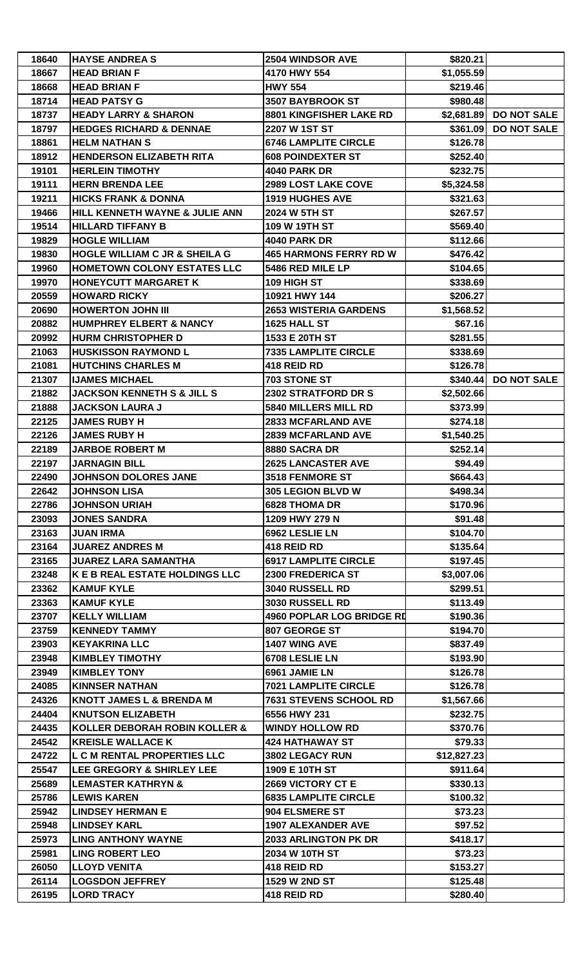| 18640 | <b>HAYSE ANDREAS</b>                     | 2504 WINDSOR AVE                 | \$820.21    |                        |
|-------|------------------------------------------|----------------------------------|-------------|------------------------|
| 18667 | <b>HEAD BRIAN F</b>                      | 4170 HWY 554                     | \$1,055.59  |                        |
| 18668 | <b>HEAD BRIAN F</b>                      | <b>HWY 554</b>                   | \$219.46    |                        |
| 18714 | <b>HEAD PATSY G</b>                      | 3507 BAYBROOK ST                 | \$980.48    |                        |
| 18737 | <b>HEADY LARRY &amp; SHARON</b>          | 8801 KINGFISHER LAKE RD          |             | \$2,681.89 DO NOT SALE |
| 18797 | <b>HEDGES RICHARD &amp; DENNAE</b>       | 2207 W 1ST ST                    |             | \$361.09 DO NOT SALE   |
| 18861 | <b>HELM NATHAN S</b>                     | <b>6746 LAMPLITE CIRCLE</b>      | \$126.78    |                        |
| 18912 | <b>HENDERSON ELIZABETH RITA</b>          | <b>608 POINDEXTER ST</b>         | \$252.40    |                        |
| 19101 | <b>HERLEIN TIMOTHY</b>                   | <b>4040 PARK DR</b>              | \$232.75    |                        |
| 19111 | <b>HERN BRENDA LEE</b>                   | 2989 LOST LAKE COVE              | \$5,324.58  |                        |
| 19211 | <b>HICKS FRANK &amp; DONNA</b>           | <b>1919 HUGHES AVE</b>           | \$321.63    |                        |
| 19466 | HILL KENNETH WAYNE & JULIE ANN           | 2024 W 5TH ST                    | \$267.57    |                        |
| 19514 | <b>HILLARD TIFFANY B</b>                 | 109 W 19TH ST                    | \$569.40    |                        |
| 19829 | <b>HOGLE WILLIAM</b>                     | <b>4040 PARK DR</b>              | \$112.66    |                        |
| 19830 | <b>HOGLE WILLIAM C JR &amp; SHEILA G</b> | <b>465 HARMONS FERRY RD W</b>    | \$476.42    |                        |
| 19960 | <b>HOMETOWN COLONY ESTATES LLC</b>       | 5486 RED MILE LP                 | \$104.65    |                        |
| 19970 | <b>HONEYCUTT MARGARET K</b>              | 109 HIGH ST                      | \$338.69    |                        |
| 20559 | <b>HOWARD RICKY</b>                      | 10921 HWY 144                    | \$206.27    |                        |
| 20690 | <b>HOWERTON JOHN III</b>                 | <b>2653 WISTERIA GARDENS</b>     | \$1,568.52  |                        |
| 20882 | <b>HUMPHREY ELBERT &amp; NANCY</b>       | 1625 HALL ST                     | \$67.16     |                        |
|       |                                          |                                  |             |                        |
| 20992 | <b>HURM CHRISTOPHER D</b>                | 1533 E 20TH ST                   | \$281.55    |                        |
| 21063 | <b>HUSKISSON RAYMOND L</b>               | <b>7335 LAMPLITE CIRCLE</b>      | \$338.69    |                        |
| 21081 | <b>HUTCHINS CHARLES M</b>                | 418 REID RD                      | \$126.78    |                        |
| 21307 | <b>IJAMES MICHAEL</b>                    | 703 STONE ST                     | \$340.44]   | <b>DO NOT SALE</b>     |
| 21882 | <b>JACKSON KENNETH S &amp; JILL S</b>    | 2302 STRATFORD DR S              | \$2,502.66  |                        |
| 21888 | <b>JACKSON LAURA J</b>                   | 5840 MILLERS MILL RD             | \$373.99    |                        |
| 22125 | <b>JAMES RUBY H</b>                      | <b>2833 MCFARLAND AVE</b>        | \$274.18    |                        |
| 22126 | <b>JAMES RUBY H</b>                      | <b>2839 MCFARLAND AVE</b>        | \$1,540.25  |                        |
| 22189 | <b>JARBOE ROBERT M</b>                   | 8880 SACRA DR                    | \$252.14    |                        |
| 22197 | <b>JARNAGIN BILL</b>                     | <b>2625 LANCASTER AVE</b>        | \$94.49     |                        |
| 22490 | JOHNSON DOLORES JANE                     | 3518 FENMORE ST                  | \$664.43    |                        |
| 22642 | <b>JOHNSON LISA</b>                      | 305 LEGION BLVD W                | \$498.34    |                        |
| 22786 | <b>JOHNSON URIAH</b>                     | <b>6828 THOMA DR</b>             | \$170.96    |                        |
| 23093 | <b>JONES SANDRA</b>                      | 1209 HWY 279 N                   | \$91.48     |                        |
| 23163 | <b>JUAN IRMA</b>                         | 6962 LESLIE LN                   | \$104.70    |                        |
| 23164 | <b>JUAREZ ANDRES M</b>                   | 418 REID RD                      | \$135.64    |                        |
| 23165 | <b>JUAREZ LARA SAMANTHA</b>              | <b>6917 LAMPLITE CIRCLE</b>      | \$197.45    |                        |
| 23248 | K E B REAL ESTATE HOLDINGS LLC           | 2300 FREDERICA ST                | \$3,007.06  |                        |
| 23362 | <b>KAMUF KYLE</b>                        | 3040 RUSSELL RD                  | \$299.51    |                        |
| 23363 | <b>KAMUF KYLE</b>                        | 3030 RUSSELL RD                  | \$113.49    |                        |
| 23707 | <b>KELLY WILLIAM</b>                     | <b>4960 POPLAR LOG BRIDGE RD</b> | \$190.36    |                        |
| 23759 | <b>KENNEDY TAMMY</b>                     | 807 GEORGE ST                    | \$194.70    |                        |
| 23903 | <b>KEYAKRINA LLC</b>                     | <b>1407 WING AVE</b>             | \$837.49    |                        |
| 23948 | <b>KIMBLEY TIMOTHY</b>                   | 6708 LESLIE LN                   | \$193.90    |                        |
| 23949 | <b>KIMBLEY TONY</b>                      | 6961 JAMIE LN                    | \$126.78    |                        |
| 24085 | <b>KINNSER NATHAN</b>                    | <b>7021 LAMPLITE CIRCLE</b>      | \$126.78    |                        |
| 24326 | <b>KNOTT JAMES L &amp; BRENDA M</b>      | 7631 STEVENS SCHOOL RD           | \$1,567.66  |                        |
| 24404 | <b>KNUTSON ELIZABETH</b>                 | 6556 HWY 231                     | \$232.75    |                        |
| 24435 | <b>KOLLER DEBORAH ROBIN KOLLER &amp;</b> | <b>WINDY HOLLOW RD</b>           | \$370.76    |                        |
| 24542 | <b>KREISLE WALLACE K</b>                 | <b>424 HATHAWAY ST</b>           | \$79.33     |                        |
| 24722 | L C M RENTAL PROPERTIES LLC              | 3802 LEGACY RUN                  | \$12,827.23 |                        |
| 25547 | LEE GREGORY & SHIRLEY LEE                | 1909 E 10TH ST                   | \$911.64    |                        |
| 25689 | <b>LEMASTER KATHRYN &amp;</b>            | 2669 VICTORY CT E                | \$330.13    |                        |
| 25786 | <b>LEWIS KAREN</b>                       | <b>6835 LAMPLITE CIRCLE</b>      | \$100.32    |                        |
| 25942 | <b>LINDSEY HERMAN E</b>                  | 904 ELSMERE ST                   | \$73.23     |                        |
| 25948 | <b>LINDSEY KARL</b>                      | <b>1907 ALEXANDER AVE</b>        | \$97.52     |                        |
| 25973 | <b>LING ANTHONY WAYNE</b>                | 2033 ARLINGTON PK DR             | \$418.17    |                        |
| 25981 | <b>LING ROBERT LEO</b>                   | 2034 W 10TH ST                   | \$73.23     |                        |
| 26050 | <b>LLOYD VENITA</b>                      | 418 REID RD                      | \$153.27    |                        |
| 26114 | <b>LOGSDON JEFFREY</b>                   | 1529 W 2ND ST                    | \$125.48    |                        |
| 26195 | <b>LORD TRACY</b>                        | 418 REID RD                      | \$280.40    |                        |
|       |                                          |                                  |             |                        |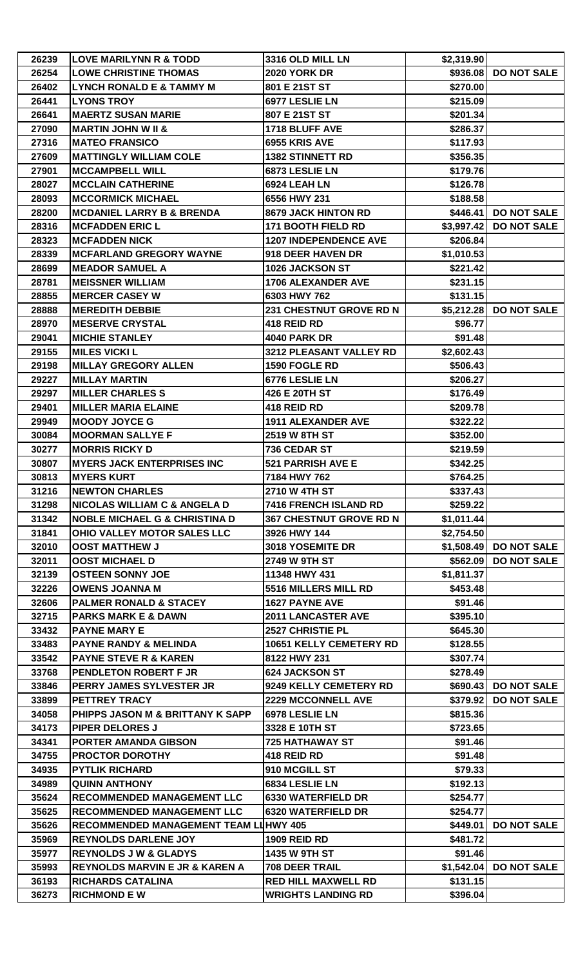| 26239 | <b>LOVE MARILYNN R &amp; TODD</b>         | 3316 OLD MILL LN             | \$2,319.90 |                        |
|-------|-------------------------------------------|------------------------------|------------|------------------------|
| 26254 | <b>LOWE CHRISTINE THOMAS</b>              | <b>2020 YORK DR</b>          | \$936.08   | <b>DO NOT SALE</b>     |
| 26402 | <b>LYNCH RONALD E &amp; TAMMY M</b>       | 801 E 21ST ST                | \$270.00   |                        |
| 26441 | <b>LYONS TROY</b>                         | 6977 LESLIE LN               | \$215.09   |                        |
| 26641 | <b>MAERTZ SUSAN MARIE</b>                 | 807 E 21ST ST                | \$201.34   |                        |
| 27090 | <b>MARTIN JOHN W II &amp;</b>             | 1718 BLUFF AVE               | \$286.37   |                        |
| 27316 | <b>MATEO FRANSICO</b>                     | 6955 KRIS AVE                | \$117.93   |                        |
| 27609 | <b>MATTINGLY WILLIAM COLE</b>             | <b>1382 STINNETT RD</b>      | \$356.35   |                        |
| 27901 | <b>MCCAMPBELL WILL</b>                    | 6873 LESLIE LN               | \$179.76   |                        |
| 28027 | <b>MCCLAIN CATHERINE</b>                  | 6924 LEAH LN                 | \$126.78   |                        |
| 28093 | <b>MCCORMICK MICHAEL</b>                  | 6556 HWY 231                 | \$188.58   |                        |
| 28200 | <b>MCDANIEL LARRY B &amp; BRENDA</b>      | 8679 JACK HINTON RD          |            | $$446.41$ DO NOT SALE  |
| 28316 | <b>MCFADDEN ERIC L</b>                    | <b>171 BOOTH FIELD RD</b>    | \$3,997.42 | <b>DO NOT SALE</b>     |
| 28323 | <b>MCFADDEN NICK</b>                      | <b>1207 INDEPENDENCE AVE</b> | \$206.84   |                        |
| 28339 | <b>MCFARLAND GREGORY WAYNE</b>            | 918 DEER HAVEN DR            | \$1,010.53 |                        |
| 28699 | <b>MEADOR SAMUEL A</b>                    | 1026 JACKSON ST              | \$221.42   |                        |
| 28781 | <b>MEISSNER WILLIAM</b>                   | <b>1706 ALEXANDER AVE</b>    | \$231.15   |                        |
| 28855 | <b>MERCER CASEY W</b>                     | 6303 HWY 762                 | \$131.15   |                        |
| 28888 | <b>MEREDITH DEBBIE</b>                    | 231 CHESTNUT GROVE RD N      |            | \$5,212.28 DO NOT SALE |
| 28970 | <b>MESERVE CRYSTAL</b>                    | 418 REID RD                  | \$96.77    |                        |
| 29041 | <b>MICHIE STANLEY</b>                     | <b>4040 PARK DR</b>          | \$91.48    |                        |
| 29155 | <b>MILES VICKI L</b>                      | 3212 PLEASANT VALLEY RD      | \$2,602.43 |                        |
| 29198 | <b>MILLAY GREGORY ALLEN</b>               | 1590 FOGLE RD                | \$506.43   |                        |
| 29227 | <b>MILLAY MARTIN</b>                      | 6776 LESLIE LN               | \$206.27   |                        |
| 29297 | <b>MILLER CHARLES S</b>                   | 426 E 20TH ST                | \$176.49   |                        |
| 29401 | <b>MILLER MARIA ELAINE</b>                | 418 REID RD                  | \$209.78   |                        |
| 29949 | <b>MOODY JOYCE G</b>                      | <b>1911 ALEXANDER AVE</b>    | \$322.22   |                        |
| 30084 | <b>MOORMAN SALLYE F</b>                   | 2519 W 8TH ST                | \$352.00   |                        |
| 30277 | <b>MORRIS RICKY D</b>                     | 736 CEDAR ST                 | \$219.59   |                        |
| 30807 | <b>MYERS JACK ENTERPRISES INC</b>         | 521 PARRISH AVE E            | \$342.25   |                        |
| 30813 | <b>MYERS KURT</b>                         | 7184 HWY 762                 | \$764.25   |                        |
| 31216 | <b>NEWTON CHARLES</b>                     | 2710 W 4TH ST                | \$337.43   |                        |
| 31298 | <b>NICOLAS WILLIAM C &amp; ANGELA D</b>   | 7416 FRENCH ISLAND RD        | \$259.22   |                        |
| 31342 | <b>NOBLE MICHAEL G &amp; CHRISTINA D</b>  | 367 CHESTNUT GROVE RD N      | \$1,011.44 |                        |
| 31841 | OHIO VALLEY MOTOR SALES LLC               | 3926 HWY 144                 | \$2,754.50 |                        |
| 32010 | <b>OOST MATTHEW J</b>                     | 3018 YOSEMITE DR             |            | \$1,508.49 DO NOT SALE |
| 32011 | <b>OOST MICHAEL D</b>                     | 2749 W 9TH ST                | \$562.09   | <b>DO NOT SALE</b>     |
| 32139 | <b>OSTEEN SONNY JOE</b>                   | 11348 HWY 431                | \$1,811.37 |                        |
| 32226 | <b>OWENS JOANNA M</b>                     | 5516 MILLERS MILL RD         | \$453.48   |                        |
| 32606 | <b>PALMER RONALD &amp; STACEY</b>         | <b>1627 PAYNE AVE</b>        |            |                        |
| 32715 | <b>PARKS MARK E &amp; DAWN</b>            | <b>2011 LANCASTER AVE</b>    | \$91.46    |                        |
|       |                                           |                              | \$395.10   |                        |
| 33432 | <b>PAYNE MARY E</b>                       | 2527 CHRISTIE PL             | \$645.30   |                        |
| 33483 | <b>PAYNE RANDY &amp; MELINDA</b>          | 10651 KELLY CEMETERY RD      | \$128.55   |                        |
| 33542 | <b>PAYNE STEVE R &amp; KAREN</b>          | 8122 HWY 231                 | \$307.74   |                        |
| 33768 | PENDLETON ROBERT F JR                     | <b>624 JACKSON ST</b>        | \$278.49   |                        |
| 33846 | PERRY JAMES SYLVESTER JR                  | 9249 KELLY CEMETERY RD       | \$690.43   | <b>DO NOT SALE</b>     |
| 33899 | PETTREY TRACY                             | <b>2229 MCCONNELL AVE</b>    | \$379.92   | <b>DO NOT SALE</b>     |
| 34058 | PHIPPS JASON M & BRITTANY K SAPP          | 6978 LESLIE LN               | \$815.36   |                        |
| 34173 | <b>PIPER DELORES J</b>                    | 3328 E 10TH ST               | \$723.65   |                        |
| 34341 | PORTER AMANDA GIBSON                      | <b>725 HATHAWAY ST</b>       | \$91.46    |                        |
| 34755 | <b>PROCTOR DOROTHY</b>                    | 418 REID RD                  | \$91.48    |                        |
| 34935 | <b>PYTLIK RICHARD</b>                     | 910 MCGILL ST                | \$79.33    |                        |
| 34989 | <b>QUINN ANTHONY</b>                      | 6834 LESLIE LN               | \$192.13   |                        |
| 35624 | <b>RECOMMENDED MANAGEMENT LLC</b>         | <b>6330 WATERFIELD DR</b>    | \$254.77   |                        |
| 35625 | <b>RECOMMENDED MANAGEMENT LLC</b>         | <b>6320 WATERFIELD DR</b>    | \$254.77   |                        |
| 35626 | RECOMMENDED MANAGEMENT TEAM LUHWY 405     |                              | \$449.01   | <b>DO NOT SALE</b>     |
| 35969 | <b>REYNOLDS DARLENE JOY</b>               | <b>1909 REID RD</b>          | \$481.72   |                        |
| 35977 | <b>REYNOLDS J W &amp; GLADYS</b>          | 1435 W 9TH ST                | \$91.46    |                        |
| 35993 | <b>REYNOLDS MARVIN E JR &amp; KAREN A</b> | 708 DEER TRAIL               | \$1,542.04 | <b>DO NOT SALE</b>     |
| 36193 | <b>RICHARDS CATALINA</b>                  | <b>RED HILL MAXWELL RD</b>   | \$131.15   |                        |
| 36273 | <b>RICHMOND E W</b>                       | <b>WRIGHTS LANDING RD</b>    | \$396.04   |                        |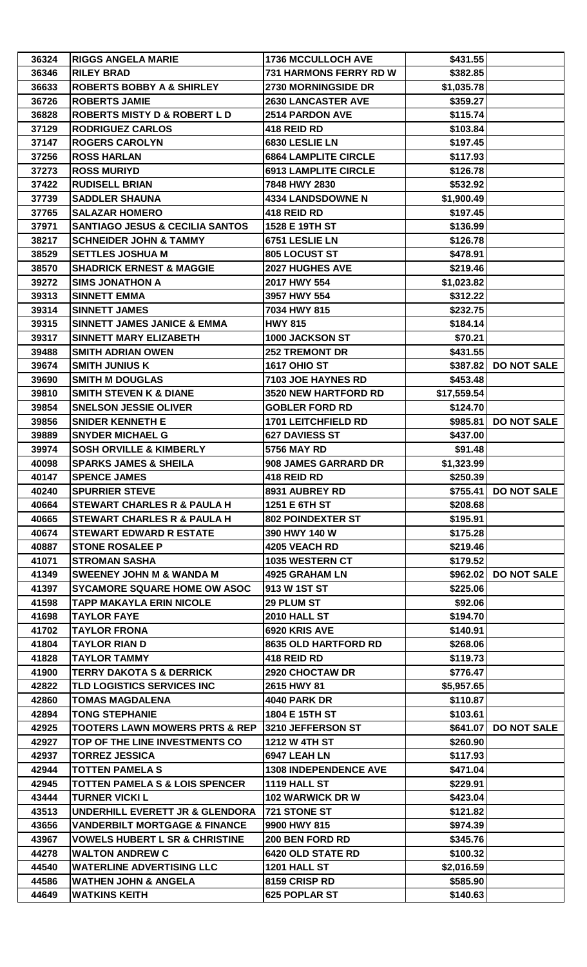| 36324 | <b>RIGGS ANGELA MARIE</b>                  | <b>1736 MCCULLOCH AVE</b>    | \$431.55    |                    |
|-------|--------------------------------------------|------------------------------|-------------|--------------------|
| 36346 | <b>RILEY BRAD</b>                          | 731 HARMONS FERRY RD W       | \$382.85    |                    |
| 36633 | <b>ROBERTS BOBBY A &amp; SHIRLEY</b>       | 2730 MORNINGSIDE DR          | \$1,035.78  |                    |
| 36726 | <b>ROBERTS JAMIE</b>                       | <b>2630 LANCASTER AVE</b>    | \$359.27    |                    |
| 36828 | <b>ROBERTS MISTY D &amp; ROBERT L D</b>    | <b>2514 PARDON AVE</b>       | \$115.74    |                    |
| 37129 | <b>RODRIGUEZ CARLOS</b>                    | 418 REID RD                  | \$103.84    |                    |
| 37147 | <b>ROGERS CAROLYN</b>                      | 6830 LESLIE LN               | \$197.45    |                    |
| 37256 | <b>ROSS HARLAN</b>                         | <b>6864 LAMPLITE CIRCLE</b>  | \$117.93    |                    |
| 37273 | <b>ROSS MURIYD</b>                         | <b>6913 LAMPLITE CIRCLE</b>  | \$126.78    |                    |
| 37422 | <b>RUDISELL BRIAN</b>                      | 7848 HWY 2830                | \$532.92    |                    |
| 37739 | <b>SADDLER SHAUNA</b>                      | <b>4334 LANDSDOWNE N</b>     | \$1,900.49  |                    |
| 37765 | <b>SALAZAR HOMERO</b>                      | 418 REID RD                  | \$197.45    |                    |
| 37971 | <b>SANTIAGO JESUS &amp; CECILIA SANTOS</b> | 1528 E 19TH ST               | \$136.99    |                    |
| 38217 | <b>SCHNEIDER JOHN &amp; TAMMY</b>          | 6751 LESLIE LN               | \$126.78    |                    |
| 38529 | <b>SETTLES JOSHUA M</b>                    | 805 LOCUST ST                | \$478.91    |                    |
| 38570 | <b>SHADRICK ERNEST &amp; MAGGIE</b>        | 2027 HUGHES AVE              | \$219.46    |                    |
| 39272 | <b>SIMS JONATHON A</b>                     | 2017 HWY 554                 | \$1,023.82  |                    |
| 39313 | <b>SINNETT EMMA</b>                        | 3957 HWY 554                 | \$312.22    |                    |
| 39314 | <b>SINNETT JAMES</b>                       | 7034 HWY 815                 | \$232.75    |                    |
| 39315 | <b>SINNETT JAMES JANICE &amp; EMMA</b>     | <b>HWY 815</b>               | \$184.14    |                    |
| 39317 | <b>SINNETT MARY ELIZABETH</b>              | 1000 JACKSON ST              | \$70.21     |                    |
| 39488 | <b>SMITH ADRIAN OWEN</b>                   | <b>252 TREMONT DR</b>        | \$431.55    |                    |
| 39674 | <b>SMITH JUNIUS K</b>                      | <b>1617 OHIO ST</b>          | \$387.82    | <b>DO NOT SALE</b> |
|       |                                            |                              |             |                    |
| 39690 | <b>SMITH M DOUGLAS</b>                     | 7103 JOE HAYNES RD           | \$453.48    |                    |
| 39810 | <b>SMITH STEVEN K &amp; DIANE</b>          | <b>3520 NEW HARTFORD RD</b>  | \$17,559.54 |                    |
| 39854 | <b>SNELSON JESSIE OLIVER</b>               | <b>GOBLER FORD RD</b>        | \$124.70    |                    |
| 39856 | <b>SNIDER KENNETH E</b>                    | <b>1701 LEITCHFIELD RD</b>   | \$985.81    | <b>DO NOT SALE</b> |
| 39889 | <b>SNYDER MICHAEL G</b>                    | <b>627 DAVIESS ST</b>        | \$437.00    |                    |
| 39974 | <b>SOSH ORVILLE &amp; KIMBERLY</b>         | <b>5756 MAY RD</b>           | \$91.48     |                    |
| 40098 | <b>SPARKS JAMES &amp; SHEILA</b>           | 908 JAMES GARRARD DR         | \$1,323.99  |                    |
| 40147 | <b>SPENCE JAMES</b>                        | 418 REID RD                  | \$250.39    |                    |
| 40240 | <b>SPURRIER STEVE</b>                      | 8931 AUBREY RD               | \$755.41    | <b>DO NOT SALE</b> |
| 40664 | <b>STEWART CHARLES R &amp; PAULA H</b>     | 1251 E 6TH ST                | \$208.68    |                    |
| 40665 | <b>STEWART CHARLES R &amp; PAULA H</b>     | <b>802 POINDEXTER ST</b>     | \$195.91    |                    |
| 40674 | <b>STEWART EDWARD R ESTATE</b>             | 390 HWY 140 W                | \$175.28    |                    |
| 40887 | <b>STONE ROSALEE P</b>                     | <b>4205 VEACH RD</b>         | \$219.46    |                    |
| 41071 | <b>STROMAN SASHA</b>                       | <b>1035 WESTERN CT</b>       | \$179.52    |                    |
| 41349 | <b>SWEENEY JOHN M &amp; WANDA M</b>        | 4925 GRAHAM LN               | \$962.02    | <b>DO NOT SALE</b> |
| 41397 | <b>SYCAMORE SQUARE HOME OW ASOC</b>        | 913 W 1ST ST                 | \$225.06    |                    |
| 41598 | <b>TAPP MAKAYLA ERIN NICOLE</b>            | 29 PLUM ST                   | \$92.06     |                    |
| 41698 | <b>TAYLOR FAYE</b>                         | <b>2010 HALL ST</b>          | \$194.70    |                    |
| 41702 | <b>TAYLOR FRONA</b>                        | 6920 KRIS AVE                | \$140.91    |                    |
| 41804 | <b>TAYLOR RIAN D</b>                       | 8635 OLD HARTFORD RD         | \$268.06    |                    |
| 41828 | <b>TAYLOR TAMMY</b>                        | 418 REID RD                  | \$119.73    |                    |
| 41900 | <b>TERRY DAKOTA S &amp; DERRICK</b>        | 2920 CHOCTAW DR              | \$776.47    |                    |
| 42822 | TLD LOGISTICS SERVICES INC                 | 2615 HWY 81                  | \$5,957.65  |                    |
| 42860 | <b>TOMAS MAGDALENA</b>                     | <b>4040 PARK DR</b>          | \$110.87    |                    |
| 42894 | <b>TONG STEPHANIE</b>                      | 1804 E 15TH ST               | \$103.61    |                    |
| 42925 | <b>TOOTERS LAWN MOWERS PRTS &amp; REP</b>  | 3210 JEFFERSON ST            | \$641.07    | <b>DO NOT SALE</b> |
| 42927 | TOP OF THE LINE INVESTMENTS CO             | <b>1212 W 4TH ST</b>         | \$260.90    |                    |
| 42937 | <b>TORREZ JESSICA</b>                      | 6947 LEAH LN                 | \$117.93    |                    |
| 42944 | <b>TOTTEN PAMELA S</b>                     | <b>1308 INDEPENDENCE AVE</b> | \$471.04    |                    |
| 42945 | <b>TOTTEN PAMELA S &amp; LOIS SPENCER</b>  | 1119 HALL ST                 | \$229.91    |                    |
| 43444 | <b>TURNER VICKI L</b>                      | <b>102 WARWICK DR W</b>      | \$423.04    |                    |
| 43513 | UNDERHILL EVERETT JR & GLENDORA            | 721 STONE ST                 | \$121.82    |                    |
| 43656 | <b>VANDERBILT MORTGAGE &amp; FINANCE</b>   | 9900 HWY 815                 | \$974.39    |                    |
| 43967 | <b>VOWELS HUBERT L SR &amp; CHRISTINE</b>  | 200 BEN FORD RD              | \$345.76    |                    |
| 44278 | <b>WALTON ANDREW C</b>                     | <b>6420 OLD STATE RD</b>     | \$100.32    |                    |
| 44540 | <b>WATERLINE ADVERTISING LLC</b>           | 1201 HALL ST                 | \$2,016.59  |                    |
| 44586 | <b>WATHEN JOHN &amp; ANGELA</b>            | 8159 CRISP RD                | \$585.90    |                    |
| 44649 | <b>WATKINS KEITH</b>                       | 625 POPLAR ST                | \$140.63    |                    |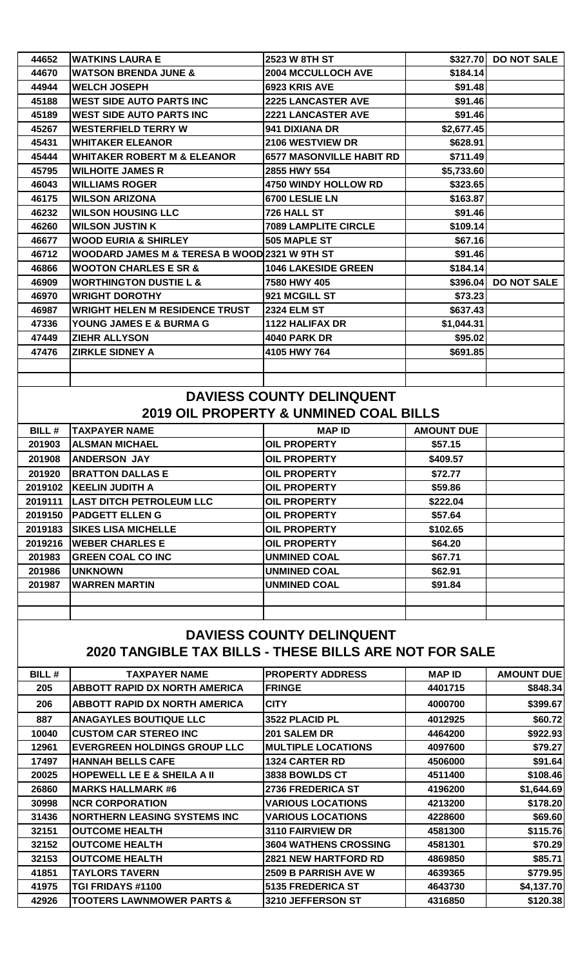| 44652                                                                                      | WATKINS LAURA E                               | <b>2523 W 8TH ST</b>                                                                  | \$327.70          | <b>DO NOT SALE</b> |
|--------------------------------------------------------------------------------------------|-----------------------------------------------|---------------------------------------------------------------------------------------|-------------------|--------------------|
| 44670                                                                                      | <b>WATSON BRENDA JUNE &amp;</b>               | <b>2004 MCCULLOCH AVE</b>                                                             | \$184.14          |                    |
| 44944                                                                                      | <b>WELCH JOSEPH</b>                           | 6923 KRIS AVE                                                                         | \$91.48           |                    |
| 45188                                                                                      | <b>WEST SIDE AUTO PARTS INC</b>               | <b>2225 LANCASTER AVE</b>                                                             | \$91.46           |                    |
| 45189                                                                                      | <b>WEST SIDE AUTO PARTS INC</b>               | <b>2221 LANCASTER AVE</b>                                                             | \$91.46           |                    |
| 45267                                                                                      | <b>WESTERFIELD TERRY W</b>                    | 941 DIXIANA DR                                                                        | \$2,677.45        |                    |
| 45431                                                                                      | <b>WHITAKER ELEANOR</b>                       | 2106 WESTVIEW DR                                                                      | \$628.91          |                    |
| 45444                                                                                      | <b>WHITAKER ROBERT M &amp; ELEANOR</b>        | <b>6577 MASONVILLE HABIT RD</b>                                                       | \$711.49          |                    |
| 45795                                                                                      | <b>WILHOITE JAMES R</b>                       | 2855 HWY 554                                                                          | \$5,733.60        |                    |
| 46043                                                                                      | <b>WILLIAMS ROGER</b>                         | 4750 WINDY HOLLOW RD                                                                  | \$323.65          |                    |
| 46175                                                                                      | <b>WILSON ARIZONA</b>                         | 6700 LESLIE LN                                                                        | \$163.87          |                    |
| 46232                                                                                      | <b>WILSON HOUSING LLC</b>                     | 726 HALL ST                                                                           | \$91.46           |                    |
| 46260                                                                                      | <b>WILSON JUSTIN K</b>                        | <b>7089 LAMPLITE CIRCLE</b>                                                           | \$109.14          |                    |
| 46677                                                                                      | <b>WOOD EURIA &amp; SHIRLEY</b>               | 505 MAPLE ST                                                                          | \$67.16           |                    |
| 46712                                                                                      | WOODARD JAMES M & TERESA B WOOD 2321 W 9TH ST |                                                                                       | \$91.46           |                    |
| 46866                                                                                      | <b>WOOTON CHARLES E SR &amp;</b>              | <b>1046 LAKESIDE GREEN</b>                                                            | \$184.14          |                    |
| 46909                                                                                      | <b>WORTHINGTON DUSTIE L &amp;</b>             | 7580 HWY 405                                                                          | \$396.04          | <b>DO NOT SALE</b> |
| 46970                                                                                      | <b>WRIGHT DOROTHY</b>                         | 921 MCGILL ST                                                                         | \$73.23           |                    |
| 46987                                                                                      | <b>WRIGHT HELEN M RESIDENCE TRUST</b>         | <b>2324 ELM ST</b>                                                                    | \$637.43          |                    |
| 47336                                                                                      | YOUNG JAMES E & BURMA G                       | <b>1122 HALIFAX DR</b>                                                                | \$1,044.31        |                    |
| 47449                                                                                      | <b>ZIEHR ALLYSON</b>                          | <b>4040 PARK DR</b>                                                                   | \$95.02           |                    |
| 47476                                                                                      | <b>ZIRKLE SIDNEY A</b>                        | 4105 HWY 764                                                                          | \$691.85          |                    |
|                                                                                            |                                               | <b>DAVIESS COUNTY DELINQUENT</b><br><b>2019 OIL PROPERTY &amp; UNMINED COAL BILLS</b> |                   |                    |
| <b>BILL#</b>                                                                               | <b>TAXPAYER NAME</b>                          | <b>MAP ID</b>                                                                         | <b>AMOUNT DUE</b> |                    |
| 201903                                                                                     | <b>ALSMAN MICHAEL</b>                         | <b>OIL PROPERTY</b>                                                                   | \$57.15           |                    |
| 201908                                                                                     | <b>ANDERSON JAY</b>                           | <b>OIL PROPERTY</b>                                                                   | \$409.57          |                    |
| 201920                                                                                     | <b>BRATTON DALLAS E</b>                       | <b>OIL PROPERTY</b>                                                                   | \$72.77           |                    |
|                                                                                            | 2019102   KEELIN JUDITH A                     | <b>OIL PROPERTY</b>                                                                   | \$59.86           |                    |
|                                                                                            | 2019111  LAST DITCH PETROLEUM LLC             | <b>OIL PROPERTY</b>                                                                   | \$222.04          |                    |
| 2019150                                                                                    | <b>PADGETT ELLEN G</b>                        | <b>OIL PROPERTY</b>                                                                   | \$57.64           |                    |
| 2019183                                                                                    | <b>ISIKES LISA MICHELLE</b>                   | <b>OIL PROPERTY</b>                                                                   | \$102.65          |                    |
| 2019216                                                                                    | <b>WEBER CHARLES E</b>                        | <b>OIL PROPERTY</b>                                                                   | \$64.20           |                    |
| 201983                                                                                     | <b>IGREEN COAL CO INC</b>                     | <b>UNMINED COAL</b>                                                                   | \$67.71           |                    |
| 201986                                                                                     | <b>UNKNOWN</b>                                | <b>UNMINED COAL</b>                                                                   | \$62.91           |                    |
| 201987                                                                                     | <b>WARREN MARTIN</b>                          | <b>UNMINED COAL</b>                                                                   | \$91.84           |                    |
|                                                                                            |                                               |                                                                                       |                   |                    |
|                                                                                            |                                               |                                                                                       |                   |                    |
| <b>DAVIESS COUNTY DELINQUENT</b><br>2020 TANGIBLE TAX BILLS - THESE BILLS ARE NOT FOR SALE |                                               |                                                                                       |                   |                    |
|                                                                                            |                                               | DRABERTY ABBRECC                                                                      |                   |                    |

| <b>BILL#</b> | <b>TAXPAYER NAME</b>                   | <b>PROPERTY ADDRESS</b>      | <b>MAP ID</b> | <b>AMOUNT DUE</b> |
|--------------|----------------------------------------|------------------------------|---------------|-------------------|
| 205          | <b>ABBOTT RAPID DX NORTH AMERICA</b>   | <b>FRINGE</b>                | 4401715       | \$848.34          |
| 206          | ABBOTT RAPID DX NORTH AMERICA          | <b>CITY</b>                  | 4000700       | \$399.67          |
| 887          | <b>ANAGAYLES BOUTIQUE LLC</b>          | 3522 PLACID PL               | 4012925       | \$60.72           |
| 10040        | <b>CUSTOM CAR STEREO INC</b>           | 201 SALEM DR                 | 4464200       | \$922.93          |
| 12961        | <b>EVERGREEN HOLDINGS GROUP LLC</b>    | <b>MULTIPLE LOCATIONS</b>    | 4097600       | \$79.27           |
| 17497        | <b>HANNAH BELLS CAFE</b>               | <b>1324 CARTER RD</b>        | 4506000       | \$91.64           |
| 20025        | <b>HOPEWELL LE E &amp; SHEILA A II</b> | 3838 BOWLDS CT               | 4511400       | \$108.46          |
| 26860        | <b>MARKS HALLMARK #6</b>               | <b>2736 FREDERICA ST</b>     | 4196200       | \$1,644.69        |
| 30998        | <b>NCR CORPORATION</b>                 | <b>VARIOUS LOCATIONS</b>     | 4213200       | \$178.20          |
| 31436        | <b>NORTHERN LEASING SYSTEMS INC</b>    | <b>VARIOUS LOCATIONS</b>     | 4228600       | \$69.60           |
| 32151        | <b>OUTCOME HEALTH</b>                  | 3110 FAIRVIEW DR             | 4581300       | \$115.76          |
| 32152        | <b>OUTCOME HEALTH</b>                  | <b>3604 WATHENS CROSSING</b> | 4581301       | \$70.29           |
| 32153        | <b>OUTCOME HEALTH</b>                  | <b>2821 NEW HARTFORD RD</b>  | 4869850       | \$85.71           |
| 41851        | <b>TAYLORS TAVERN</b>                  | <b>2509 B PARRISH AVE W</b>  | 4639365       | \$779.95          |
| 41975        | TGI FRIDAYS #1100                      | 5135 FREDERICA ST            | 4643730       | \$4,137.70        |
| 42926        | TOOTERS LAWNMOWER PARTS &              | 3210 JEFFERSON ST            | 4316850       | \$120.38          |